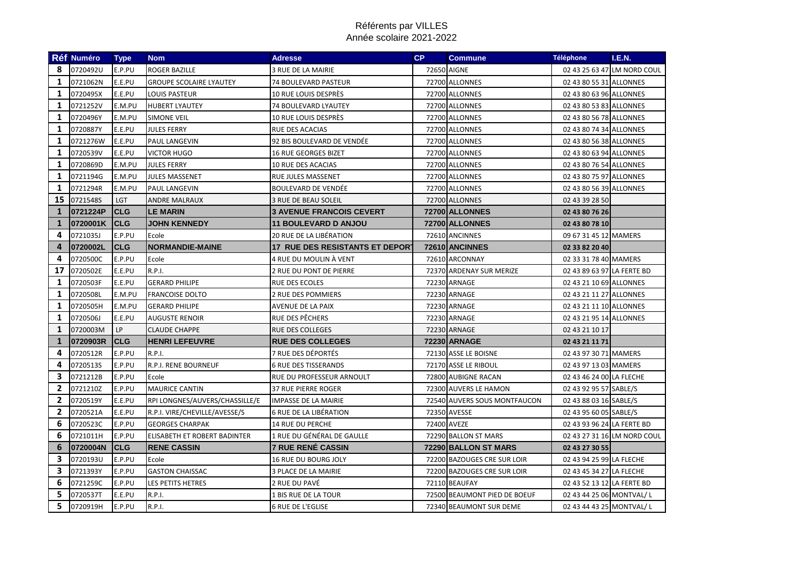|              | Réf Numéro | <b>Type</b> | <b>Nom</b>                     | <b>Adresse</b>                         | <b>CP</b> | <b>Commune</b>               | <b>Téléphone</b>           | I.E.N.                      |
|--------------|------------|-------------|--------------------------------|----------------------------------------|-----------|------------------------------|----------------------------|-----------------------------|
| 8            | 0720492U   | E.P.PU      | <b>ROGER BAZILLE</b>           | 3 RUE DE LA MAIRIE                     |           | 72650 AIGNE                  |                            | 02 43 25 63 47 LM NORD COUL |
| 1            | 0721062N   | E.E.PU      | <b>GROUPE SCOLAIRE LYAUTEY</b> | 74 BOULEVARD PASTEUR                   |           | 72700 ALLONNES               | 02 43 80 55 31 ALLONNES    |                             |
| $\mathbf{1}$ | 0720495X   | E.E.PU      | <b>LOUIS PASTEUR</b>           | <b>10 RUE LOUIS DESPRÈS</b>            |           | 72700 ALLONNES               | 02 43 80 63 96 ALLONNES    |                             |
| 1            | 0721252V   | E.M.PU      | <b>HUBERT LYAUTEY</b>          | 74 BOULEVARD LYAUTEY                   |           | 72700 ALLONNES               | 02 43 80 53 83 ALLONNES    |                             |
| 1            | 0720496Y   | E.M.PU      | <b>SIMONE VEIL</b>             | 10 RUE LOUIS DESPRÈS                   |           | 72700 ALLONNES               | 02 43 80 56 78 ALLONNES    |                             |
| 1            | 0720887Y   | E.E.PU      | <b>JULES FERRY</b>             | <b>RUE DES ACACIAS</b>                 |           | 72700 ALLONNES               | 02 43 80 74 34 ALLONNES    |                             |
| 1            | 0721276W   | E.E.PU      | <b>PAUL LANGEVIN</b>           | 92 BIS BOULEVARD DE VENDÉE             |           | 72700 ALLONNES               | 02 43 80 56 38 ALLONNES    |                             |
| 1            | 0720539V   | E.E.PU      | <b>VICTOR HUGO</b>             | <b>16 RUE GEORGES BIZET</b>            |           | 72700 ALLONNES               | 02 43 80 63 94 ALLONNES    |                             |
| 1            | 0720869D   | E.M.PU      | <b>JULES FERRY</b>             | 10 RUE DES ACACIAS                     |           | 72700 ALLONNES               | 02 43 80 76 54 ALLONNES    |                             |
| 1            | 0721194G   | E.M.PU      | <b>JULES MASSENET</b>          | RUE JULES MASSENET                     |           | 72700 ALLONNES               | 02 43 80 75 97 ALLONNES    |                             |
| $\mathbf{1}$ | 0721294R   | E.M.PU      | <b>PAUL LANGEVIN</b>           | <b>BOULEVARD DE VENDÉE</b>             |           | 72700 ALLONNES               | 02 43 80 56 39 ALLONNES    |                             |
| 15           | 0721548S   | <b>LGT</b>  | <b>ANDRE MALRAUX</b>           | 3 RUE DE BEAU SOLEIL                   |           | 72700 ALLONNES               | 02 43 39 28 50             |                             |
| $\mathbf{1}$ | 0721224P   | <b>CLG</b>  | <b>LE MARIN</b>                | <b>3 AVENUE FRANCOIS CEVERT</b>        |           | 72700 ALLONNES               | 02 43 80 76 26             |                             |
| 1            | 0720001K   | <b>CLG</b>  | <b>JOHN KENNEDY</b>            | <b>11 BOULEVARD D ANJOU</b>            |           | 72700 ALLONNES               | 02 43 80 78 10             |                             |
| 4            | 0721035J   | E.P.PU      | Ecole                          | 20 RUE DE LA LIBÉRATION                |           | 72610 ANCINNES               | 09 67 31 45 12 MAMERS      |                             |
| 4            | 0720002L   | <b>CLG</b>  | <b>NORMANDIE-MAINE</b>         | <b>17 RUE DES RESISTANTS ET DEPORT</b> |           | 72610 ANCINNES               | 02 33 82 20 40             |                             |
| 4            | 0720500C   | E.P.PU      | Ecole                          | 4 RUE DU MOULIN À VENT                 |           | 72610 ARCONNAY               | 02 33 31 78 40 MAMERS      |                             |
| 17           | 0720502E   | E.E.PU      | R.P.I.                         | 2 RUE DU PONT DE PIERRE                |           | 72370 ARDENAY SUR MERIZE     | 02 43 89 63 97 LA FERTE BD |                             |
| 1            | 0720503F   | E.E.PU      | <b>GERARD PHILIPE</b>          | <b>RUE DES ECOLES</b>                  |           | 72230 ARNAGE                 | 02 43 21 10 69 ALLONNES    |                             |
| $\mathbf{1}$ | 0720508L   | E.M.PU      | <b>FRANCOISE DOLTO</b>         | 2 RUE DES POMMIERS                     |           | 72230 ARNAGE                 | 02 43 21 11 27 ALLONNES    |                             |
| 1            | 0720505H   | E.M.PU      | <b>GERARD PHILIPE</b>          | AVENUE DE LA PAIX                      |           | 72230 ARNAGE                 | 02 43 21 11 10 ALLONNES    |                             |
| $\mathbf{1}$ | 0720506J   | E.E.PU      | <b>AUGUSTE RENOIR</b>          | RUE DES PÊCHERS                        |           | 72230 ARNAGE                 | 02 43 21 95 14 ALLONNES    |                             |
| 1            | 0720003M   | <b>LP</b>   | <b>CLAUDE CHAPPE</b>           | <b>RUE DES COLLEGES</b>                |           | <b>72230 ARNAGE</b>          | 02 43 21 10 17             |                             |
| 1            | 0720903R   | <b>CLG</b>  | <b>HENRI LEFEUVRE</b>          | <b>RUE DES COLLEGES</b>                |           | 72230 ARNAGE                 | 02 43 21 11 71             |                             |
| 4            | 0720512R   | E.P.PU      | <b>R.P.I.</b>                  | 7 RUE DES DÉPORTÉS                     |           | 72130 ASSE LE BOISNE         | 02 43 97 30 71 MAMERS      |                             |
| 4            | 0720513S   | E.P.PU      | R.P.I. RENE BOURNEUF           | <b>6 RUE DES TISSERANDS</b>            |           | 72170 ASSE LE RIBOUL         | 02 43 97 13 03 MAMERS      |                             |
| 3            | 0721212B   | E.P.PU      | Ecole                          | RUE DU PROFESSEUR ARNOULT              |           | 72800 AUBIGNE RACAN          | 02 43 46 24 00 LA FLECHE   |                             |
| 2            | 0721210Z   | E.P.PU      | <b>MAURICE CANTIN</b>          | <b>37 RUE PIERRE ROGER</b>             |           | 72300 AUVERS LE HAMON        | 02 43 92 95 57 SABLE/S     |                             |
| 2            | 0720519Y   | E.E.PU      | RPI LONGNES/AUVERS/CHASSILLE/E | <b>IMPASSE DE LA MAIRIE</b>            |           | 72540 AUVERS SOUS MONTFAUCON | 02 43 88 03 16 SABLE/S     |                             |
| $\mathbf{2}$ | 0720521A   | E.E.PU      | R.P.I. VIRE/CHEVILLE/AVESSE/S  | <b>6 RUE DE LA LIBÉRATION</b>          |           | <b>72350 AVESSE</b>          | 02 43 95 60 05 SABLE/S     |                             |
| 6            | 0720523C   | E.P.PU      | <b>GEORGES CHARPAK</b>         | <b>14 RUE DU PERCHE</b>                |           | 72400 AVEZE                  | 02 43 93 96 24 LA FERTE BD |                             |
| 6            | 0721011H   | E.P.PU      | ELISABETH ET ROBERT BADINTER   | 1 RUE DU GÉNÉRAL DE GAULLE             |           | 72290 BALLON ST MARS         |                            | 02 43 27 31 16 LM NORD COUL |
| 6            | 0720004N   | <b>CLG</b>  | <b>RENE CASSIN</b>             | <b>7 RUE RENÉ CASSIN</b>               |           | 72290 BALLON ST MARS         | 02 43 27 30 55             |                             |
| 3.           | 0720193U   | E.P.PU      | Ecole                          | <b>16 RUE DU BOURG JOLY</b>            |           | 72200 BAZOUGES CRE SUR LOIR  | 02 43 94 25 99 LA FLECHE   |                             |
| 3            | 0721393Y   | E.P.PU      | <b>GASTON CHAISSAC</b>         | 3 PLACE DE LA MAIRIE                   |           | 72200 BAZOUGES CRE SUR LOIR  | 02 43 45 34 27 LA FLECHE   |                             |
| 6            | 0721259C   | E.P.PU      | LES PETITS HETRES              | 2 RUE DU PAVÉ                          |           | 72110 BEAUFAY                | 02 43 52 13 12 LA FERTE BD |                             |
| 5            | 0720537T   | E.E.PU      | <b>R.P.I.</b>                  | <b>1 BIS RUE DE LA TOUR</b>            |           | 72500 BEAUMONT PIED DE BOEUF | 02 43 44 25 06 MONTVAL/L   |                             |
| 5            | 0720919H   | E.P.PU      | R.P.I.                         | <b>6 RUE DE L'EGLISE</b>               |           | 72340 BEAUMONT SUR DEME      | 02 43 44 43 25 MONTVAL/L   |                             |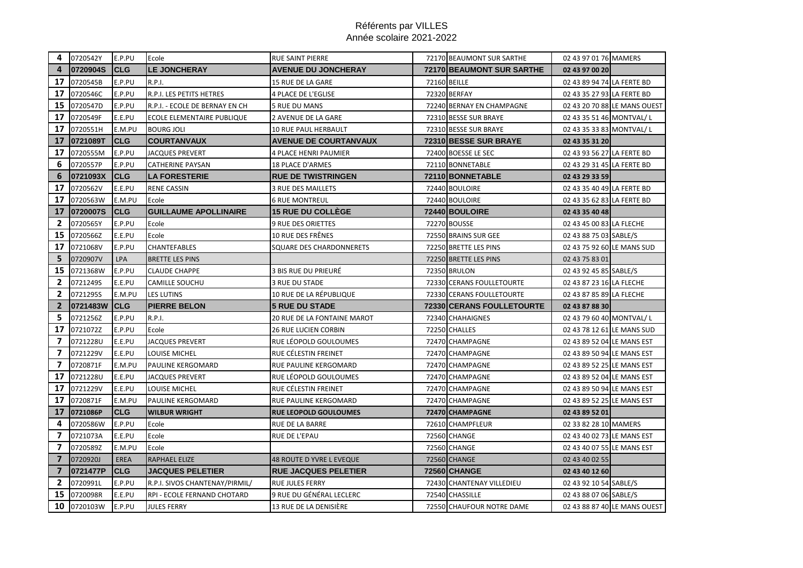| 4                        | 0720542Y | E.P.PU      | Ecole                          | <b>RUE SAINT PIERRE</b>      | 72170 BEAUMONT SUR SARTHE    | 02 43 97 01 76 MAMERS      |                              |
|--------------------------|----------|-------------|--------------------------------|------------------------------|------------------------------|----------------------------|------------------------------|
| $\overline{4}$           | 0720904S | <b>CLG</b>  | <b>LE JONCHERAY</b>            | <b>AVENUE DU JONCHERAY</b>   | 72170 BEAUMONT SUR SARTHE    | 02 43 97 00 20             |                              |
| 17                       | 0720545B | E.P.PU      | <b>R.P.I.</b>                  | 15 RUE DE LA GARE            | 72160 BEILLE                 | 02 43 89 94 74 LA FERTE BD |                              |
| 17                       | 0720546C | E.P.PU      | R.P.I. LES PETITS HETRES       | <b>4 PLACE DE L'EGLISE</b>   | 72320 BERFAY                 | 02 43 35 27 93 LA FERTE BD |                              |
| 15                       | 0720547D | E.P.PU      | R.P.I. - ECOLE DE BERNAY EN CH | 5 RUE DU MANS                | 72240 BERNAY EN CHAMPAGNE    |                            | 02 43 20 70 88 LE MANS OUEST |
| 17                       | 0720549F | E.E.PU      | ECOLE ELEMENTAIRE PUBLIQUE     | 2 AVENUE DE LA GARE          | 72310 BESSE SUR BRAYE        | 02 43 35 51 46 MONTVAL/L   |                              |
| 17                       | 0720551H | E.M.PU      | <b>BOURG JOLI</b>              | 10 RUE PAUL HERBAULT         | 72310 BESSE SUR BRAYE        | 02 43 35 33 83 MONTVAL/L   |                              |
| 17                       | 0721089T | <b>CLG</b>  | <b>COURTANVAUX</b>             | <b>AVENUE DE COURTANVAUX</b> | <b>72310 BESSE SUR BRAYE</b> | 02 43 35 31 20             |                              |
| 17                       | 0720555M | E.P.PU      | <b>JACQUES PREVERT</b>         | <b>4 PLACE HENRI PAUMIER</b> | 72400 BOESSE LE SEC          | 02 43 93 56 27 LA FERTE BD |                              |
| 6                        | 0720557P | E.P.PU      | CATHERINE PAYSAN               | <b>18 PLACE D'ARMES</b>      | 72110 BONNETABLE             | 02 43 29 31 45 LA FERTE BD |                              |
| 6                        | 0721093X | <b>CLG</b>  | <b>LA FORESTERIE</b>           | <b>RUE DE TWISTRINGEN</b>    | 72110 BONNETABLE             | 02 43 29 33 59             |                              |
| 17                       | 0720562V | E.E.PU      | <b>RENE CASSIN</b>             | <b>3 RUE DES MAILLETS</b>    | 72440 BOULOIRE               | 02 43 35 40 49 LA FERTE BD |                              |
| 17                       | 0720563W | E.M.PU      | Ecole                          | <b>6 RUE MONTREUL</b>        | 72440 BOULOIRE               | 02 43 35 62 83 LA FERTE BD |                              |
| 17                       | 0720007S | <b>CLG</b>  | <b>GUILLAUME APOLLINAIRE</b>   | <b>15 RUE DU COLLEGE</b>     | 72440 BOULOIRE               | 02 43 35 40 48             |                              |
| $\mathbf{2}$             | 0720565Y | E.P.PU      | Ecole                          | <b>9 RUE DES ORIETTES</b>    | 72270 BOUSSE                 | 02 43 45 00 83 LA FLECHE   |                              |
| 15                       | 0720566Z | E.E.PU      | Ecole                          | 10 RUE DES FRÊNES            | 72550 BRAINS SUR GEE         | 02 43 88 75 03 SABLE/S     |                              |
| 17                       | 0721068V | E.P.PU      | CHANTEFABLES                   | SQUARE DES CHARDONNERETS     | 72250 BRETTE LES PINS        | 02 43 75 92 60 LE MANS SUD |                              |
| 5                        | 0720907V | <b>LPA</b>  | <b>BRETTE LES PINS</b>         |                              | 72250 BRETTE LES PINS        | 02 43 75 83 01             |                              |
| 15                       | 0721368W | E.P.PU      | <b>CLAUDE CHAPPE</b>           | <b>3 BIS RUE DU PRIEURÉ</b>  | <b>72350 BRULON</b>          | 02 43 92 45 85 SABLE/S     |                              |
| $\mathbf{2}$             | 0721249S | E.E.PU      | CAMILLE SOUCHU                 | 3 RUE DU STADE               | 72330 CERANS FOULLETOURTE    | 02 43 87 23 16 LA FLECHE   |                              |
| $\mathbf{2}$             | 0721295S | E.M.PU      | <b>LES LUTINS</b>              | 10 RUE DE LA RÉPUBLIQUE      | 72330 CERANS FOULLETOURTE    | 02 43 87 85 89 LA FLECHE   |                              |
| $\mathbf{2}$             | 0721483W | <b>CLG</b>  | <b>PIERRE BELON</b>            | <b>5 RUE DU STADE</b>        | 72330 CERANS FOULLETOURTE    | 02 43 87 88 30             |                              |
| 5.                       | 0721256Z | E.P.PU      | <b>R.P.I.</b>                  | 20 RUE DE LA FONTAINE MAROT  | 72340 CHAHAIGNES             | 02 43 79 60 40 MONTVAL/L   |                              |
| 17                       | 0721072Z | E.P.PU      | Ecole                          | <b>26 RUE LUCIEN CORBIN</b>  | 72250 CHALLES                | 02 43 78 12 61 LE MANS SUD |                              |
| $\overline{ }$           | 0721228U | E.E.PU      | <b>JACQUES PREVERT</b>         | RUE LÉOPOLD GOULOUMES        | 72470 CHAMPAGNE              | 02 43 89 52 04 LE MANS EST |                              |
| $\overline{ }$           | 0721229V | E.E.PU      | LOUISE MICHEL                  | RUE CÉLESTIN FREINET         | 72470 CHAMPAGNE              | 02 43 89 50 94 LE MANS EST |                              |
| 7                        | 0720871F | E.M.PU      | <b>PAULINE KERGOMARD</b>       | RUE PAULINE KERGOMARD        | 72470 CHAMPAGNE              | 02 43 89 52 25 LE MANS EST |                              |
| 17                       | 0721228U | E.E.PU      | <b>JACQUES PREVERT</b>         | RUE LÉOPOLD GOULOUMES        | 72470 CHAMPAGNE              | 02 43 89 52 04 LE MANS EST |                              |
| 17                       | 0721229V | E.E.PU      | LOUISE MICHEL                  | RUE CÉLESTIN FREINET         | 72470 CHAMPAGNE              | 02 43 89 50 94 LE MANS EST |                              |
| 17                       | 0720871F | E.M.PU      | PAULINE KERGOMARD              | RUE PAULINE KERGOMARD        | 72470 CHAMPAGNE              | 02 43 89 52 25 LE MANS EST |                              |
| 17                       | 0721086P | <b>CLG</b>  | <b>WILBUR WRIGHT</b>           | <b>RUE LEOPOLD GOULOUMES</b> | 72470 CHAMPAGNE              | 02 43 89 52 01             |                              |
| 4                        | 0720586W | E.P.PU      | Ecole                          | RUE DE LA BARRE              | 72610 CHAMPFLEUR             | 02 33 82 28 10 MAMERS      |                              |
| 7                        | 0721073A | E.E.PU      | Ecole                          | RUE DE L'EPAU                | <b>72560 CHANGE</b>          | 02 43 40 02 73 LE MANS EST |                              |
| $\overline{\phantom{a}}$ | 0720589Z | E.M.PU      | Ecole                          |                              | 72560 CHANGE                 | 02 43 40 07 55 LE MANS EST |                              |
| $\overline{7}$           | 0720920J | <b>EREA</b> | <b>RAPHAEL ELIZE</b>           | 48 ROUTE D YVRE L EVEQUE     | <b>72560 CHANGE</b>          | 02 43 40 02 55             |                              |
| $\overline{7}$           | 0721477P | <b>CLG</b>  | <b>JACQUES PELETIER</b>        | <b>RUE JACQUES PELETIER</b>  | <b>72560 CHANGE</b>          | 02 43 40 12 60             |                              |
| $\mathbf{2}$             | 0720991L | E.P.PU      | R.P.I. SIVOS CHANTENAY/PIRMIL/ | <b>RUE JULES FERRY</b>       | 72430 CHANTENAY VILLEDIEU    | 02 43 92 10 54 SABLE/S     |                              |
| 15                       | 0720098R | E.E.PU      | RPI - ECOLE FERNAND CHOTARD    | 9 RUE DU GÉNÉRAL LECLERC     | 72540 CHASSILLE              | 02 43 88 07 06 SABLE/S     |                              |
| 10                       | 0720103W | E.P.PU      | <b>JULES FERRY</b>             | 13 RUE DE LA DENISIÈRE       | 72550 CHAUFOUR NOTRE DAME    |                            | 02 43 88 87 40 LE MANS OUEST |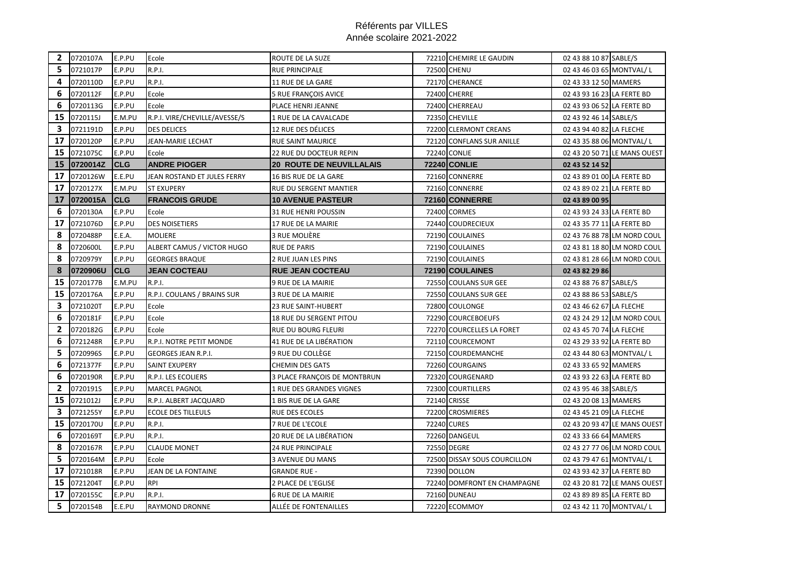| $\mathbf{2}$ | 0720107A | E.P.PU     | Ecole                         | ROUTE DE LA SUZE                | 72210 CHEMIRE LE GAUDIN       | 02 43 88 10 87 SABLE/S                                 |                              |
|--------------|----------|------------|-------------------------------|---------------------------------|-------------------------------|--------------------------------------------------------|------------------------------|
| 5            | 0721017P | E.P.PU     | <b>R.P.I.</b>                 | <b>RUE PRINCIPALE</b>           | <b>72500 CHENU</b>            | 02 43 46 03 65 MONTVAL/L                               |                              |
| 4            | 0720110D | E.P.PU     | R.P.I.                        | 11 RUE DE LA GARE               | 72170 CHERANCE                | 02 43 33 12 50 MAMERS                                  |                              |
| 6            | 0720112F | E.P.PU     | Ecole                         | <b>5 RUE FRANÇOIS AVICE</b>     | <b>72400 CHERRE</b>           | 02 43 93 16 23 LA FERTE BD                             |                              |
| 6            | 0720113G | E.P.PU     | Ecole                         | PLACE HENRI JEANNE              | 72400 CHERREAU                | 02 43 93 06 52 LA FERTE BD                             |                              |
| 15           | 0720115J | E.M.PU     | R.P.I. VIRE/CHEVILLE/AVESSE/S | 1 RUE DE LA CAVALCADE           | 72350 CHEVILLE                | 02 43 92 46 14 SABLE/S                                 |                              |
| 3            | 0721191D | E.P.PU     | <b>DES DELICES</b>            | 12 RUE DES DÉLICES              | 72200 CLERMONT CREANS         | 02 43 94 40 82 LA FLECHE                               |                              |
| 17           | 0720120P | E.P.PU     | JEAN-MARIE LECHAT             | <b>RUE SAINT MAURICE</b>        | 72120 CONFLANS SUR ANILLE     | 02 43 35 88 06 MONTVAL/L                               |                              |
| 15           | 0721075C | E.P.PU     | Ecole                         | 22 RUE DU DOCTEUR REPIN         | <b>72240 CONLIE</b>           |                                                        | 02 43 20 50 71 LE MANS OUEST |
| 15           | 0720014Z | <b>CLG</b> | <b>ANDRE PIOGER</b>           | <b>20 ROUTE DE NEUVILLALAIS</b> | <b>72240 CONLIE</b>           | 02 43 52 14 52                                         |                              |
| 17           | 0720126W | E.E.PU     | JEAN ROSTAND ET JULES FERRY   | 16 BIS RUE DE LA GARE           | 72160 CONNERRE                | 02 43 89 01 00 LA FERTE BD                             |                              |
| 17           | 0720127X | E.M.PU     | <b>ST EXUPERY</b>             | RUE DU SERGENT MANTIER          | 72160 CONNERRE                | 02 43 89 02 21 LA FERTE BD                             |                              |
| 17           | 0720015A | <b>CLG</b> | <b>FRANCOIS GRUDE</b>         | <b>10 AVENUE PASTEUR</b>        | 72160 CONNERRE                | 02 43 89 00 95                                         |                              |
| 6            | 0720130A | E.P.PU     | Ecole                         | <b>31 RUE HENRI POUSSIN</b>     | 72400 CORMES                  | 02 43 93 24 33 LA FERTE BD                             |                              |
| 17           | 0721076D | E.P.PU     | <b>DES NOISETIERS</b>         | 17 RUE DE LA MAIRIE             | 72440 COUDRECIEUX             | 02 43 35 77 11 LA FERTE BD                             |                              |
| 8            | 0720488P | E.E.A.     | <b>MOLIERE</b>                | 3 RUE MOLIÈRE                   | 72190 COULAINES               |                                                        | 02 43 76 88 78 LM NORD COUL  |
| 8            | 0720600L | E.P.PU     | ALBERT CAMUS / VICTOR HUGO    | <b>RUE DE PARIS</b>             | 72190 COULAINES               |                                                        | 02 43 81 18 80 LM NORD COUL  |
| 8            | 0720979Y | E.P.PU     | <b>GEORGES BRAQUE</b>         | 2 RUE JUAN LES PINS             | 72190 COULAINES               |                                                        | 02 43 81 28 66 LM NORD COUL  |
| 8            | 0720906U | <b>CLG</b> | <b>JEAN COCTEAU</b>           | <b>RUE JEAN COCTEAU</b>         | 72190 COULAINES               | 02 43 82 29 86                                         |                              |
|              |          |            |                               |                                 |                               |                                                        |                              |
| 15           | 0720177B | E.M.PU     | <b>R.P.I.</b>                 | 9 RUE DE LA MAIRIE              | 72550 COULANS SUR GEE         | 02 43 88 76 87 SABLE/S                                 |                              |
| 15           | 0720176A | E.P.PU     | R.P.I. COULANS / BRAINS SUR   | 3 RUE DE LA MAIRIE              | 72550 COULANS SUR GEE         | 02 43 88 86 53 SABLE/S                                 |                              |
| 3            | 0721020T | E.P.PU     | Ecole                         | 23 RUE SAINT-HUBERT             | 72800 COULONGE                | 02 43 46 62 67 LA FLECHE                               |                              |
| 6            | 0720181F | E.P.PU     | Ecole                         | 18 RUE DU SERGENT PITOU         | 72290 COURCEBOEUFS            |                                                        | 02 43 24 29 12 LM NORD COUL  |
| $\mathbf{2}$ | 0720182G | E.P.PU     | Ecole                         | RUE DU BOURG FLEURI             | 72270 COURCELLES LA FORET     | 02 43 45 70 74 LA FLECHE                               |                              |
| 6            | 0721248R | E.P.PU     | R.P.I. NOTRE PETIT MONDE      | 41 RUE DE LA LIBÉRATION         | 72110 COURCEMONT              | 02 43 29 33 92 LA FERTE BD                             |                              |
| 5            | 0720996S | E.P.PU     | <b>GEORGES JEAN R.P.I.</b>    | 9 RUE DU COLLÈGE                | 72150 COURDEMANCHE            | 02 43 44 80 63 MONTVAL/L                               |                              |
| 6            | 0721377F | E.P.PU     | SAINT EXUPERY                 | <b>CHEMIN DES GATS</b>          | 72260 COURGAINS               | 02 43 33 65 92 MAMERS                                  |                              |
| 6            | 0720190R | E.P.PU     | R.P.I. LES ECOLIERS           | 3 PLACE FRANÇOIS DE MONTBRUN    | 72320 COURGENARD              | 02 43 93 22 63 LA FERTE BD                             |                              |
| $\mathbf{2}$ | 0720191S | E.P.PU     | MARCEL PAGNOL                 | 1 RUE DES GRANDES VIGNES        | 72300 COURTILLERS             | 02 43 95 46 38 SABLE/S                                 |                              |
| 15           | 0721012J | E.P.PU     | R.P.I. ALBERT JACQUARD        | 1 BIS RUE DE LA GARE            | 72140 CRISSE                  | 02 43 20 08 13 MAMERS                                  |                              |
| 3            | 0721255Y | E.P.PU     | <b>ECOLE DES TILLEULS</b>     | RUE DES ECOLES                  | 72200 CROSMIERES              | 02 43 45 21 09 LA FLECHE                               |                              |
| 15           | 0720170U | E.P.PU     | <b>R.P.I.</b>                 | 7 RUE DE L'ECOLE                | 72240 CURES                   |                                                        | 02 43 20 93 47 LE MANS OUEST |
| 6            | 0720169T | E.P.PU     | R.P.I.                        | 20 RUE DE LA LIBÉRATION         | 72260 DANGEUL                 | 02 43 33 66 64 MAMERS                                  |                              |
| 8            | 0720167R | E.P.PU     | <b>CLAUDE MONET</b>           | <b>24 RUE PRINCIPALE</b>        | 72550 DEGRE                   |                                                        | 02 43 27 77 06 LM NORD COUL  |
| 5            | 0720164M | E.P.PU     | Ecole                         | <b>3 AVENUE DU MANS</b>         | 72500 DISSAY SOUS COURCILLON  | 02 43 79 47 61 MONTVAL/L                               |                              |
| 17           | 0721018R | E.P.PU     | JEAN DE LA FONTAINE           | <b>GRANDE RUE -</b>             | 72390 DOLLON                  | 02 43 93 42 37 LA FERTE BD                             |                              |
| 15           | 0721204T | E.P.PU     | <b>RPI</b>                    | 2 PLACE DE L'EGLISE             | 72240 DOMFRONT EN CHAMPAGNE   |                                                        | 02 43 20 81 72 LE MANS OUEST |
| 17<br>5      | 0720155C | E.P.PU     | <b>R.P.I.</b>                 | <b>6 RUE DE LA MAIRIE</b>       | 72160 DUNEAU<br>72220 ECOMMOY | 02 43 89 89 85 LA FERTE BD<br>02 43 42 11 70 MONTVAL/L |                              |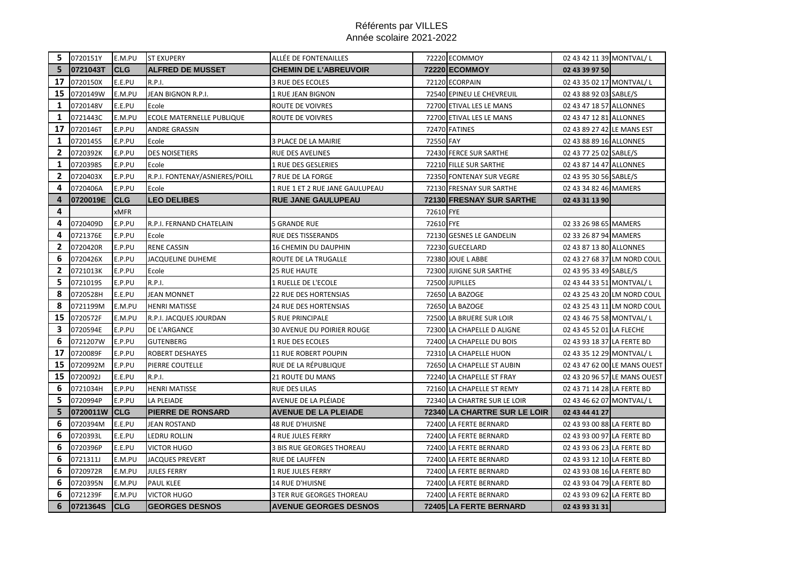|              | 5 0720151Y | E.M.PU      | <b>ST EXUPERY</b>              | ALLÉE DE FONTENAILLES            |           | 72220 ECOMMOY                | 02 43 42 11 39 MONTVAL/L   |                              |
|--------------|------------|-------------|--------------------------------|----------------------------------|-----------|------------------------------|----------------------------|------------------------------|
| 5.           | 0721043T   | <b>CLG</b>  | <b>ALFRED DE MUSSET</b>        | <b>CHEMIN DE L'ABREUVOIR</b>     |           | <b>72220 ECOMMOY</b>         | 02 43 39 97 50             |                              |
| 17           | 0720150X   | E.E.PU      | <b>R.P.I.</b>                  | <b>3 RUE DES ECOLES</b>          |           | 72120 ECORPAIN               | 02 43 35 02 17 MONTVAL/L   |                              |
| 15           | 0720149W   | E.M.PU      | JEAN BIGNON R.P.I.             | 1 RUE JEAN BIGNON                |           | 72540 EPINEU LE CHEVREUIL    | 02 43 88 92 03 SABLE/S     |                              |
| 1            | 0720148V   | E.E.PU      | Ecole                          | <b>ROUTE DE VOIVRES</b>          |           | 72700 ETIVAL LES LE MANS     | 02 43 47 18 57 ALLONNES    |                              |
| 1            | 0721443C   | E.M.PU      | ECOLE MATERNELLE PUBLIQUE      | ROUTE DE VOIVRES                 |           | 72700 ETIVAL LES LE MANS     | 02 43 47 12 81 ALLONNES    |                              |
| 17           | 0720146T   | E.P.PU      | <b>ANDRE GRASSIN</b>           |                                  |           | 72470 FATINES                | 02 43 89 27 42 LE MANS EST |                              |
| 1            | 0720145S   | E.P.PU      | Ecole                          | 3 PLACE DE LA MAIRIE             | 72550 FAY |                              | 02 43 88 89 16 ALLONNES    |                              |
| 2            | 0720392K   | E.P.PU      | <b>DES NOISETIERS</b>          | RUE DES AVELINES                 |           | 72430 FERCE SUR SARTHE       | 02 43 77 25 02 SABLE/S     |                              |
| $\mathbf{1}$ | 0720398S   | E.P.PU      | Ecole                          | 1 RUE DES GESLERIES              |           | 72210 FILLE SUR SARTHE       | 02 43 87 14 47 ALLONNES    |                              |
| $\mathbf{2}$ | 0720403X   | E.P.PU      | R.P.I. FONTENAY/ASNIERES/POILL | 7 RUE DE LA FORGE                |           | 72350 FONTENAY SUR VEGRE     | 02 43 95 30 56 SABLE/S     |                              |
| 4            | 0720406A   | E.P.PU      | Ecole                          | 1 RUE 1 ET 2 RUE JANE GAULUPEAU  |           | 72130 FRESNAY SUR SARTHE     | 02 43 34 82 46 MAMERS      |                              |
| 4            | 0720019E   | <b>CLG</b>  | <b>LEO DELIBES</b>             | <b>RUE JANE GAULUPEAU</b>        |           | 72130 FRESNAY SUR SARTHE     | 02 43 31 13 90             |                              |
| 4            |            | <b>xMFR</b> |                                |                                  | 72610 FYE |                              |                            |                              |
| 4            | 0720409D   | E.P.PU      | R.P.I. FERNAND CHATELAIN       | <b>5 GRANDE RUE</b>              | 72610 FYE |                              | 02 33 26 98 65 MAMERS      |                              |
| 4            | 0721376E   | E.P.PU      | Ecole                          | <b>RUE DES TISSERANDS</b>        |           | 72130 GESNES LE GANDELIN     | 02 33 26 87 94 MAMERS      |                              |
| 2            | 0720420R   | E.P.PU      | <b>RENE CASSIN</b>             | 16 CHEMIN DU DAUPHIN             |           | 72230 GUECELARD              | 02 43 87 13 80 ALLONNES    |                              |
| 6            | 0720426X   | E.P.PU      | JACQUELINE DUHEME              | ROUTE DE LA TRUGALLE             |           | 72380 JOUE LABBE             |                            | 02 43 27 68 37 LM NORD COUL  |
| $\mathbf{2}$ | 0721013K   | E.P.PU      | Ecole                          | <b>25 RUE HAUTE</b>              |           | 72300 JUIGNE SUR SARTHE      | 02 43 95 33 49 SABLE/S     |                              |
| 5            | 0721019S   | E.P.PU      | R.P.I.                         | 1 RUELLE DE L'ECOLE              |           | 72500 JUPILLES               | 02 43 44 33 51 MONTVAL/L   |                              |
| 8            | 0720528H   | E.E.PU      | <b>JEAN MONNET</b>             | <b>22 RUE DES HORTENSIAS</b>     |           | 72650 LA BAZOGE              |                            | 02 43 25 43 20 LM NORD COUL  |
| 8            | 0721199M   | E.M.PU      | <b>HENRI MATISSE</b>           | 24 RUE DES HORTENSIAS            |           | 72650 LA BAZOGE              |                            | 02 43 25 43 11 LM NORD COUL  |
| 15           | 0720572F   | E.M.PU      | R.P.I. JACQUES JOURDAN         | <b>5 RUE PRINCIPALE</b>          |           | 72500 LA BRUERE SUR LOIR     | 02 43 46 75 58 MONTVAL/L   |                              |
| 3.           | 0720594E   | E.P.PU      | DE L'ARGANCE                   | 30 AVENUE DU POIRIER ROUGE       |           | 72300 LA CHAPELLE D ALIGNE   | 02 43 45 52 01 LA FLECHE   |                              |
| 6            | 0721207W   | E.P.PU      | <b>GUTENBERG</b>               | 1 RUE DES ECOLES                 |           | 72400 LA CHAPELLE DU BOIS    | 02 43 93 18 37 LA FERTE BD |                              |
| 17           | 0720089F   | E.P.PU      | ROBERT DESHAYES                | <b>11 RUE ROBERT POUPIN</b>      |           | 72310 LA CHAPELLE HUON       | 02 43 35 12 29 MONTVAL/L   |                              |
| 15           | 0720992M   | E.P.PU      | PIERRE COUTELLE                | RUE DE LA RÉPUBLIQUE             |           | 72650 LA CHAPELLE ST AUBIN   |                            | 02 43 47 62 00 LE MANS OUEST |
| 15           | 0720092J   | E.E.PU      | <b>R.P.I.</b>                  | <b>21 ROUTE DU MANS</b>          |           | 72240 LA CHAPELLE ST FRAY    |                            | 02 43 20 96 57 LE MANS OUEST |
| 6            | 0721034H   | E.P.PU      | <b>HENRI MATISSE</b>           | <b>RUE DES LILAS</b>             |           | 72160 LA CHAPELLE ST REMY    | 02 43 71 14 28 LA FERTE BD |                              |
| 5            | 0720994P   | E.P.PU      | <b>LA PLEIADE</b>              | AVENUE DE LA PLÉIADE             |           | 72340 LA CHARTRE SUR LE LOIR | 02 43 46 62 07 MONTVAL/L   |                              |
| 5            | 0720011W   | <b>CLG</b>  | <b>PIERRE DE RONSARD</b>       | <b>AVENUE DE LA PLEIADE</b>      |           | 72340 LA CHARTRE SUR LE LOIR | 02 43 44 41 27             |                              |
| 6            | 0720394M   | E.E.PU      | <b>JEAN ROSTAND</b>            | <b>48 RUE D'HUISNE</b>           |           | 72400 LA FERTE BERNARD       | 02 43 93 00 88 LA FERTE BD |                              |
| 6            | 0720393L   | E.E.PU      | LEDRU ROLLIN                   | <b>4 RUE JULES FERRY</b>         |           | 72400 LA FERTE BERNARD       | 02 43 93 00 97 LA FERTE BD |                              |
| 6            | 0720396P   | E.E.PU      | <b>VICTOR HUGO</b>             | <b>3 BIS RUE GEORGES THOREAU</b> |           | 72400 LA FERTE BERNARD       | 02 43 93 06 23 LA FERTE BD |                              |
| 6            | 0721311J   | E.M.PU      | <b>JACQUES PREVERT</b>         | RUE DE LAUFFEN                   |           | 72400 LA FERTE BERNARD       | 02 43 93 12 10 LA FERTE BD |                              |
| 6            | 0720972R   | E.M.PU      | <b>JULES FERRY</b>             | 1 RUE JULES FERRY                |           | 72400 LA FERTE BERNARD       | 02 43 93 08 16 LA FERTE BD |                              |
| 6            | 0720395N   | E.M.PU      | <b>PAUL KLEE</b>               | <b>14 RUE D'HUISNE</b>           |           | 72400 LA FERTE BERNARD       | 02 43 93 04 79 LA FERTE BD |                              |
| 6            | 0721239F   | E.M.PU      | <b>VICTOR HUGO</b>             | <b>3 TER RUE GEORGES THOREAU</b> |           | 72400 LA FERTE BERNARD       | 02 43 93 09 62 LA FERTE BD |                              |
| 6            | 0721364S   | <b>CLG</b>  | <b>GEORGES DESNOS</b>          | <b>AVENUE GEORGES DESNOS</b>     |           | 72405 LA FERTE BERNARD       | 02 43 93 31 31             |                              |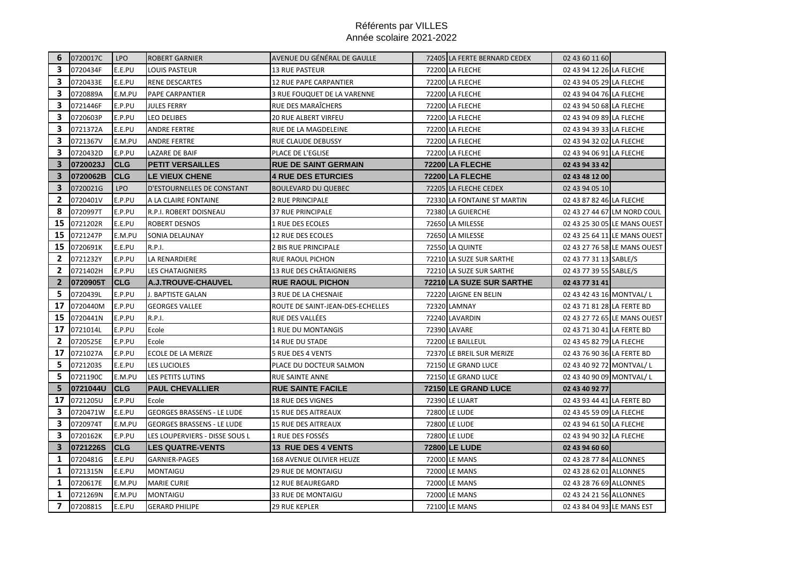|                | 6 0720017C | LPO        | <b>ROBERT GARNIER</b>             | AVENUE DU GÉNÉRAL DE GAULLE      | 72405 LA FERTE BERNARD CEDEX | 02 43 60 11 60             |                              |
|----------------|------------|------------|-----------------------------------|----------------------------------|------------------------------|----------------------------|------------------------------|
| З.             | 0720434F   | E.E.PU     | LOUIS PASTEUR                     | <b>13 RUE PASTEUR</b>            | 72200 LA FLECHE              | 02 43 94 12 26 LA FLECHE   |                              |
| З.             | 0720433E   | E.E.PU     | <b>RENE DESCARTES</b>             | 12 RUE PAPE CARPANTIER           | 72200 LA FLECHE              | 02 43 94 05 29 LA FLECHE   |                              |
| 3.             | 0720889A   | E.M.PU     | <b>PAPE CARPANTIER</b>            | 3 RUE FOUQUET DE LA VARENNE      | 72200 LA FLECHE              | 02 43 94 04 76 LA FLECHE   |                              |
| 3.             | 0721446F   | E.P.PU     | <b>JULES FERRY</b>                | RUE DES MARAÎCHERS               | 72200 LA FLECHE              | 02 43 94 50 68 LA FLECHE   |                              |
| 3.             | 0720603P   | E.P.PU     | <b>LEO DELIBES</b>                | 20 RUE ALBERT VIRFEU             | 72200 LA FLECHE              | 02 43 94 09 89 LA FLECHE   |                              |
| 3              | 0721372A   | E.E.PU     | <b>ANDRE FERTRE</b>               | RUE DE LA MAGDELEINE             | 72200 LA FLECHE              | 02 43 94 39 33 LA FLECHE   |                              |
| 3              | 0721367V   | E.M.PU     | <b>ANDRE FERTRE</b>               | RUE CLAUDE DEBUSSY               | 72200 LA FLECHE              | 02 43 94 32 02 LA FLECHE   |                              |
| 3              | 0720432D   | E.P.PU     | LAZARE DE BAIF                    | PLACE DE L'EGLISE                | 72200 LA FLECHE              | 02 43 94 06 91 LA FLECHE   |                              |
| 3              | 0720023J   | <b>CLG</b> | <b>PETIT VERSAILLES</b>           | <b>RUE DE SAINT GERMAIN</b>      | 72200 LA FLECHE              | 02 43 94 33 42             |                              |
| $\overline{3}$ | 0720062B   | <b>CLG</b> | <b>LE VIEUX CHENE</b>             | <b>4 RUE DES ETURCIES</b>        | 72200 LA FLECHE              | 02 43 48 12 00             |                              |
| 3              | 0720021G   | <b>LPO</b> | D'ESTOURNELLES DE CONSTANT        | <b>BOULEVARD DU QUEBEC</b>       | 72205 LA FLECHE CEDEX        | 02 43 94 05 10             |                              |
| 2              | 0720401V   | E.P.PU     | A LA CLAIRE FONTAINE              | 2 RUE PRINCIPALE                 | 72330 LA FONTAINE ST MARTIN  | 02 43 87 82 46 LA FLECHE   |                              |
| 8              | 0720997T   | E.P.PU     | R.P.I. ROBERT DOISNEAU            | 37 RUE PRINCIPALE                | 72380 LA GUIERCHE            |                            | 02 43 27 44 67 LM NORD COUL  |
| 15             | 0721202R   | E.E.PU     | <b>ROBERT DESNOS</b>              | 1 RUE DES ECOLES                 | 72650 LA MILESSE             |                            | 02 43 25 30 05 LE MANS OUEST |
| 15             | 0721247P   | E.M.PU     | SONIA DELAUNAY                    | 12 RUE DES ECOLES                | 72650 LA MILESSE             |                            | 02 43 25 64 11 LE MANS OUEST |
| 15             | 0720691K   | E.E.PU     | R.P.I.                            | <b>2 BIS RUE PRINCIPALE</b>      | 72550 LA QUINTE              |                            | 02 43 27 76 58 LE MANS OUEST |
| $\mathbf{2}$   | 0721232Y   | E.P.PU     | LA RENARDIERE                     | RUE RAOUL PICHON                 | 72210 LA SUZE SUR SARTHE     | 02 43 77 31 13 SABLE/S     |                              |
| 2              | 0721402H   | E.P.PU     | <b>LES CHATAIGNIERS</b>           | 13 RUE DES CHÂTAIGNIERS          | 72210 LA SUZE SUR SARTHE     | 02 43 77 39 55 SABLE/S     |                              |
| $\mathbf{2}$   | 0720905T   | <b>CLG</b> | A.J.TROUVE-CHAUVEL                | <b>RUE RAOUL PICHON</b>          | 72210 LA SUZE SUR SARTHE     | 02 43 77 31 41             |                              |
| 5              | 0720439L   | E.P.PU     | J. BAPTISTE GALAN                 | 3 RUE DE LA CHESNAIE             | 72220 LAIGNE EN BELIN        | 02 43 42 43 16 MONTVAL/L   |                              |
| 17             | 0720440M   | E.P.PU     | <b>GEORGES VALLEE</b>             | ROUTE DE SAINT-JEAN-DES-ECHELLES | 72320 LAMNAY                 | 02 43 71 81 28 LA FERTE BD |                              |
| 15             | 0720441N   | E.P.PU     | <b>R.P.I.</b>                     | RUE DES VALLÉES                  | 72240 LAVARDIN               |                            | 02 43 27 72 65 LE MANS OUEST |
| 17             | 0721014L   | E.P.PU     | Ecole                             | 1 RUE DU MONTANGIS               | <b>72390 LAVARE</b>          | 02 43 71 30 41 LA FERTE BD |                              |
| $\mathbf{2}$   | 0720525E   | E.P.PU     | Ecole                             | <b>14 RUE DU STADE</b>           | 72200 LE BAILLEUL            | 02 43 45 82 79 LA FLECHE   |                              |
| 17             | 0721027A   | E.P.PU     | ECOLE DE LA MERIZE                | 5 RUE DES 4 VENTS                | 72370 LE BREIL SUR MERIZE    | 02 43 76 90 36 LA FERTE BD |                              |
| 5.             | 0721203S   | E.E.PU     | <b>LES LUCIOLES</b>               | PLACE DU DOCTEUR SALMON          | 72150 LE GRAND LUCE          | 02 43 40 92 72 MONTVAL/L   |                              |
| 5.             | 0721190C   | E.M.PU     | LES PETITS LUTINS                 | RUE SAINTE ANNE                  | 72150 LE GRAND LUCE          | 02 43 40 90 09 MONTVAL/L   |                              |
| 5              | 0721044U   | <b>CLG</b> | <b>PAUL CHEVALLIER</b>            | <b>RUE SAINTE FACILE</b>         | <b>72150 LE GRAND LUCE</b>   | 02 43 40 92 77             |                              |
| 17             | 0721205U   | E.P.PU     | Ecole                             | <b>18 RUE DES VIGNES</b>         | <b>72390 LE LUART</b>        | 02 43 93 44 41 LA FERTE BD |                              |
| 3              | 0720471W   | E.E.PU     | <b>GEORGES BRASSENS - LE LUDE</b> | <b>15 RUE DES AITREAUX</b>       | 72800 LE LUDE                | 02 43 45 59 09 LA FLECHE   |                              |
| 3.             | 0720974T   | E.M.PU     | <b>GEORGES BRASSENS - LE LUDE</b> | <b>15 RUE DES AITREAUX</b>       | <b>72800 LE LUDE</b>         | 02 43 94 61 50 LA FLECHE   |                              |
| 3              | 0720162K   | E.P.PU     | LES LOUPERVIERS - DISSE SOUS L    | 1 RUE DES FOSSÉS                 | <b>72800 LE LUDE</b>         | 02 43 94 90 32 LA FLECHE   |                              |
| 3.             | 0721226S   | <b>CLG</b> | <b>LES QUATRE-VENTS</b>           | <b>13 RUE DES 4 VENTS</b>        | <b>72800 LE LUDE</b>         | 02 43 94 60 60             |                              |
| 1              | 0720481G   | E.E.PU     | <b>GARNIER-PAGES</b>              | <b>168 AVENUE OLIVIER HEUZE</b>  | 72000 LE MANS                | 02 43 28 77 84 ALLONNES    |                              |
| 1              | 0721315N   | E.E.PU     | MONTAIGU                          | 29 RUE DE MONTAIGU               | 72000 LE MANS                | 02 43 28 62 01 ALLONNES    |                              |
| 1              | 0720617E   | E.M.PU     | <b>MARIE CURIE</b>                | <b>12 RUE BEAUREGARD</b>         | 72000 LE MANS                | 02 43 28 76 69 ALLONNES    |                              |
| 1              |            |            |                                   |                                  |                              |                            |                              |
|                | 0721269N   | E.M.PU     | <b>MONTAIGU</b>                   | 33 RUE DE MONTAIGU               | 72000 LE MANS                | 02 43 24 21 56 ALLONNES    |                              |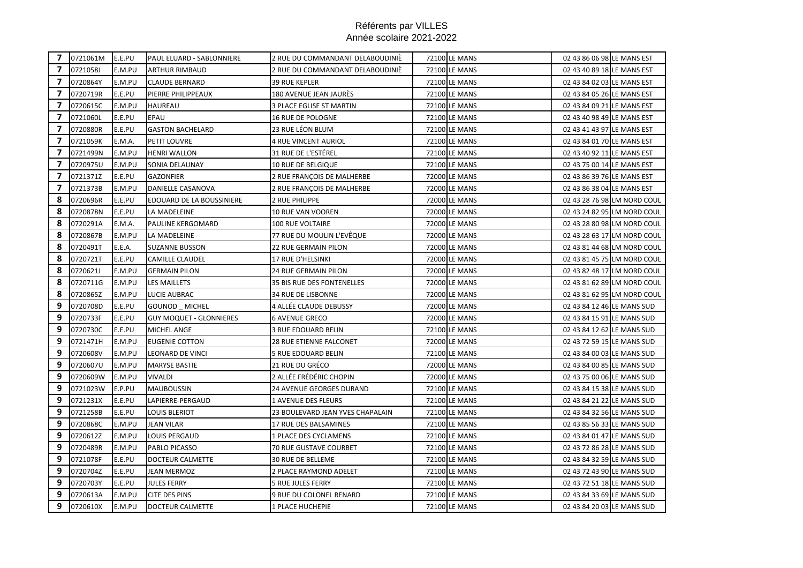| $\overline{7}$           | 0721061M | E.E.PU | PAUL ELUARD - SABLONNIERE      | 2 RUE DU COMMANDANT DELABOUDINIÈ | 72100 LE MANS        | 02 43 86 06 98 LE MANS EST |                             |
|--------------------------|----------|--------|--------------------------------|----------------------------------|----------------------|----------------------------|-----------------------------|
| $\overline{7}$           | 0721058J | E.M.PU | <b>ARTHUR RIMBAUD</b>          | 2 RUE DU COMMANDANT DELABOUDINIE | 72100 LE MANS        | 02 43 40 89 18 LE MANS EST |                             |
| $\mathbf{7}$             | 0720864Y | E.M.PU | <b>CLAUDE BERNARD</b>          | <b>39 RUE KEPLER</b>             | 72100 LE MANS        | 02 43 84 02 03 LE MANS EST |                             |
| $\overline{7}$           | 0720719R | E.E.PU | PIERRE PHILIPPEAUX             | 180 AVENUE JEAN JAURÉS           | 72100 LE MANS        | 02 43 84 05 26 LE MANS EST |                             |
| 7                        | 0720615C | E.M.PU | <b>HAUREAU</b>                 | <b>3 PLACE EGLISE ST MARTIN</b>  | 72100 LE MANS        | 02 43 84 09 21 LE MANS EST |                             |
| $\overline{\phantom{a}}$ | 0721060L | E.E.PU | <b>EPAU</b>                    | <b>16 RUE DE POLOGNE</b>         | 72100 LE MANS        | 02 43 40 98 49 LE MANS EST |                             |
| $\mathbf{7}$             | 0720880R | E.E.PU | <b>GASTON BACHELARD</b>        | 23 RUE LÉON BLUM                 | 72100 LE MANS        | 02 43 41 43 97 LE MANS EST |                             |
| 7                        | 0721059K | E.M.A. | PETIT LOUVRE                   | <b>4 RUE VINCENT AURIOL</b>      | 72100 LE MANS        | 02 43 84 01 70 LE MANS EST |                             |
| 7                        | 0721499N | E.M.PU | <b>HENRI WALLON</b>            | 31 RUE DE L'ESTÉREL              | 72100 LE MANS        | 02 43 40 92 11 LE MANS EST |                             |
| 7                        | 0720975U | E.M.PU | SONIA DELAUNAY                 | 10 RUE DE BELGIQUE               | 72100 LE MANS        | 02 43 75 00 14 LE MANS EST |                             |
| $\overline{7}$           | 0721371Z | E.E.PU | <b>GAZONFIER</b>               | 2 RUE FRANÇOIS DE MALHERBE       | 72000 LE MANS        | 02 43 86 39 76 LE MANS EST |                             |
| $\overline{\phantom{a}}$ | 0721373B | E.M.PU | DANIELLE CASANOVA              | 2 RUE FRANÇOIS DE MALHERBE       | 72000 LE MANS        | 02 43 86 38 04 LE MANS EST |                             |
| 8                        | 0720696R | E.E.PU | EDOUARD DE LA BOUSSINIERE      | 2 RUE PHILIPPE                   | 72000 LE MANS        |                            | 02 43 28 76 98 LM NORD COUL |
| 8                        | 0720878N | E.E.PU | LA MADELEINE                   | <b>10 RUE VAN VOOREN</b>         | 72000 LE MANS        |                            | 02 43 24 82 95 LM NORD COUL |
| 8                        | 0720291A | E.M.A. | <b>PAULINE KERGOMARD</b>       | <b>100 RUE VOLTAIRE</b>          | 72000 LE MANS        |                            | 02 43 28 80 98 LM NORD COUL |
| 8                        | 0720867B | E.M.PU | <b>LA MADELEINE</b>            | 77 RUE DU MOULIN L'EVÊQUE        | 72000 LE MANS        |                            | 02 43 28 63 17 LM NORD COUL |
| 8                        | 0720491T | E.E.A. | <b>SUZANNE BUSSON</b>          | <b>22 RUE GERMAIN PILON</b>      | 72000 LE MANS        |                            | 02 43 81 44 68 LM NORD COUL |
| 8                        | 0720721T | E.E.PU | <b>CAMILLE CLAUDEL</b>         | 17 RUE D'HELSINKI                | 72000 LE MANS        |                            | 02 43 81 45 75 LM NORD COUL |
| 8                        | 0720621J | E.M.PU | <b>GERMAIN PILON</b>           | <b>24 RUE GERMAIN PILON</b>      | 72000 LE MANS        |                            | 02 43 82 48 17 LM NORD COUL |
| 8                        | 0720711G | E.M.PU | <b>LES MAILLETS</b>            | 35 BIS RUE DES FONTENELLES       | 72000 LE MANS        |                            | 02 43 81 62 89 LM NORD COUL |
| 8                        | 0720865Z | E.M.PU | LUCIE AUBRAC                   | 34 RUE DE LISBONNE               | 72000 LE MANS        |                            | 02 43 81 62 95 LM NORD COUL |
| 9                        | 0720708D | E.E.PU | GOUNOD MICHEL                  | 4 ALLÉE CLAUDE DEBUSSY           | 72000 LE MANS        | 02 43 84 12 46 LE MANS SUD |                             |
| 9                        | 0720733F | E.E.PU | <b>GUY MOQUET - GLONNIERES</b> | <b>6 AVENUE GRECO</b>            | 72000 LE MANS        | 02 43 84 15 91 LE MANS SUD |                             |
| 9                        | 0720730C | E.E.PU | <b>MICHEL ANGE</b>             | 3 RUE EDOUARD BELIN              | 72100 LE MANS        | 02 43 84 12 62 LE MANS SUD |                             |
| 9                        | 0721471H | E.M.PU | <b>EUGENIE COTTON</b>          | 28 RUE ETIENNE FALCONET          | 72000 LE MANS        | 02 43 72 59 15 LE MANS SUD |                             |
| 9                        | 0720608V | E.M.PU | LEONARD DE VINCI               | 5 RUE EDOUARD BELIN              | 72100 LE MANS        | 02 43 84 00 03 LE MANS SUD |                             |
| 9                        | 0720607U | E.M.PU | <b>MARYSE BASTIE</b>           | 21 RUE DU GRÉCO                  | 72000 LE MANS        | 02 43 84 00 85 LE MANS SUD |                             |
| 9                        | 0720609W | E.M.PU | <b>VIVALDI</b>                 | 2 ALLÉE FRÉDÉRIC CHOPIN          | <b>72000 LE MANS</b> | 02 43 75 00 06 LE MANS SUD |                             |
| 9                        | 0721023W | E.P.PU | <b>MAUBOUSSIN</b>              | <b>24 AVENUE GEORGES DURAND</b>  | 72100 LE MANS        | 02 43 84 15 38 LE MANS SUD |                             |
| 9                        | 0721231X | E.E.PU | LAPIERRE-PERGAUD               | 1 AVENUE DES FLEURS              | <b>72100 LE MANS</b> | 02 43 84 21 22 LE MANS SUD |                             |
| 9                        | 0721258B | E.E.PU | <b>LOUIS BLERIOT</b>           | 23 BOULEVARD JEAN YVES CHAPALAIN | 72100 LE MANS        | 02 43 84 32 56 LE MANS SUD |                             |
| 9                        | 0720868C | E.M.PU | <b>JEAN VILAR</b>              | <b>17 RUE DES BALSAMINES</b>     | 72100 LE MANS        | 02 43 85 56 33 LE MANS SUD |                             |
| 9                        | 0720612Z | E.M.PU | <b>LOUIS PERGAUD</b>           | 1 PLACE DES CYCLAMENS            | 72100 LE MANS        | 02 43 84 01 47 LE MANS SUD |                             |
| 9                        | 0720489R | E.M.PU | <b>PABLO PICASSO</b>           | 70 RUE GUSTAVE COURBET           | 72100 LE MANS        | 02 43 72 86 28 LE MANS SUD |                             |
| 9                        | 0721078F | E.E.PU | <b>DOCTEUR CALMETTE</b>        | 30 RUE DE BELLEME                | <b>72100 LE MANS</b> | 02 43 84 32 59 LE MANS SUD |                             |
| 9                        | 0720704Z | E.E.PU | JEAN MERMOZ                    | 2 PLACE RAYMOND ADELET           | 72100 LE MANS        | 02 43 72 43 90 LE MANS SUD |                             |
| 9                        | 0720703Y | E.E.PU | <b>JULES FERRY</b>             | <b>5 RUE JULES FERRY</b>         | 72100 LE MANS        | 02 43 72 51 18 LE MANS SUD |                             |
| 9                        | 0720613A | E.M.PU | <b>CITE DES PINS</b>           | 9 RUE DU COLONEL RENARD          | 72100 LE MANS        | 02 43 84 33 69 LE MANS SUD |                             |
| 9                        | 0720610X | E.M.PU | <b>DOCTEUR CALMETTE</b>        | 1 PLACE HUCHEPIE                 | 72100 LE MANS        | 02 43 84 20 03 LE MANS SUD |                             |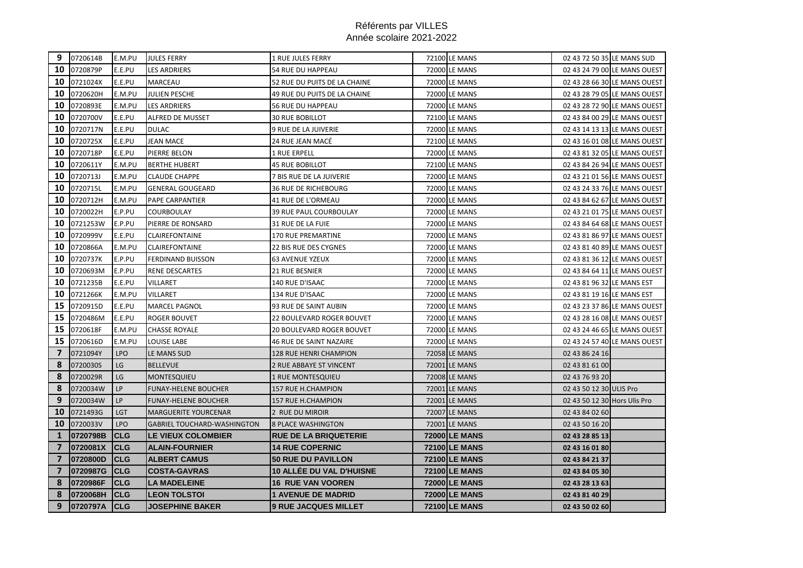| 9                       | 0720614B | E.M.PU     | <b>JULES FERRY</b>                 | <b>1 RUE JULES FERRY</b>        | 72100 LE MANS        | 02 43 72 50 35 LE MANS SUD   |                              |
|-------------------------|----------|------------|------------------------------------|---------------------------------|----------------------|------------------------------|------------------------------|
| 10                      | 0720879P | E.E.PU     | LES ARDRIERS                       | 54 RUE DU HAPPEAU               | 72000 LE MANS        |                              | 02 43 24 79 00 LE MANS OUEST |
| 10                      | 0721024X | E.E.PU     | <b>MARCEAU</b>                     | 52 RUE DU PUITS DE LA CHAINE    | 72000 LE MANS        |                              | 02 43 28 66 30 LE MANS OUEST |
| 10                      | 0720620H | E.M.PU     | JULIEN PESCHE                      | 49 RUE DU PUITS DE LA CHAINE    | 72000 LE MANS        |                              | 02 43 28 79 05 LE MANS OUEST |
| 10                      | 0720893E | E.M.PU     | <b>LES ARDRIERS</b>                | 56 RUE DU HAPPEAU               | 72000 LE MANS        |                              | 02 43 28 72 90 LE MANS OUEST |
| 10                      | 0720700V | E.E.PU     | <b>ALFRED DE MUSSET</b>            | <b>30 RUE BOBILLOT</b>          | 72100 LE MANS        |                              | 02 43 84 00 29 LE MANS OUEST |
| 10                      | 0720717N | E.E.PU     | <b>DULAC</b>                       | 9 RUE DE LA JUIVERIE            | 72000 LE MANS        |                              | 02 43 14 13 13 LE MANS OUEST |
| 10                      | 0720725X | E.E.PU     | <b>JEAN MACE</b>                   | 24 RUE JEAN MACÉ                | 72100 LE MANS        |                              | 02 43 16 01 08 LE MANS OUEST |
| 10                      | 0720718P | E.E.PU     | PIERRE BELON                       | 1 RUE ERPELL                    | 72000 LE MANS        |                              | 02 43 81 32 05 LE MANS OUEST |
| 10                      | 0720611Y | E.M.PU     | <b>BERTHE HUBERT</b>               | <b>45 RUE BOBILLOT</b>          | 72100 LE MANS        |                              | 02 43 84 26 94 LE MANS OUEST |
| 10                      | 0720713J | E.M.PU     | <b>CLAUDE CHAPPE</b>               | 7 BIS RUE DE LA JUIVERIE        | <b>72000 LE MANS</b> |                              | 02 43 21 01 56 LE MANS OUEST |
| 10                      | 0720715L | E.M.PU     | <b>GENERAL GOUGEARD</b>            | <b>36 RUE DE RICHEBOURG</b>     | 72000 LE MANS        |                              | 02 43 24 33 76 LE MANS OUEST |
| 10                      | 0720712H | E.M.PU     | PAPE CARPANTIER                    | 41 RUE DE L'ORMEAU              | 72000 LE MANS        |                              | 02 43 84 62 67 LE MANS OUEST |
| 10                      | 0720022H | E.P.PU     | <b>COURBOULAY</b>                  | 39 RUE PAUL COURBOULAY          | 72000 LE MANS        |                              | 02 43 21 01 75 LE MANS OUEST |
| 10                      | 0721253W | E.P.PU     | PIERRE DE RONSARD                  | 31 RUE DE LA FUIE               | 72000 LE MANS        |                              | 02 43 84 64 68 LE MANS OUEST |
| 10                      | 0720999V | E.E.PU     | <b>CLAIREFONTAINE</b>              | <b>170 RUE PREMARTINE</b>       | 72000 LE MANS        |                              | 02 43 81 86 97 LE MANS OUEST |
| 10                      | 0720866A | E.M.PU     | <b>CLAIREFONTAINE</b>              | 22 BIS RUE DES CYGNES           | 72000 LE MANS        |                              | 02 43 81 40 89 LE MANS OUEST |
| 10                      | 0720737K | E.P.PU     | <b>FERDINAND BUISSON</b>           | <b>63 AVENUE YZEUX</b>          | 72000 LE MANS        |                              | 02 43 81 36 12 LE MANS OUEST |
| 10                      | 0720693M | E.P.PU     | <b>RENE DESCARTES</b>              | <b>21 RUE BESNIER</b>           | 72000 LE MANS        |                              | 02 43 84 64 11 LE MANS OUEST |
| 10                      | 0721235B | E.E.PU     | VILLARET                           | 140 RUE D'ISAAC                 | <b>72000 LE MANS</b> | 02 43 81 96 32 LE MANS EST   |                              |
| 10                      | 0721266K | E.M.PU     | VILLARET                           | 134 RUE D'ISAAC                 | 72000 LE MANS        | 02 43 81 19 16 LE MANS EST   |                              |
| 15                      | 0720915D | E.E.PU     | <b>MARCEL PAGNOL</b>               | 93 RUE DE SAINT AUBIN           | 72000 LE MANS        |                              | 02 43 23 37 86 LE MANS OUEST |
| 15                      | 0720486M | E.E.PU     | <b>ROGER BOUVET</b>                | 22 BOULEVARD ROGER BOUVET       | 72000 LE MANS        |                              | 02 43 28 16 08 LE MANS OUEST |
| 15                      | 0720618F | E.M.PU     | <b>CHASSE ROYALE</b>               | 20 BOULEVARD ROGER BOUVET       | 72000 LE MANS        |                              | 02 43 24 46 65 LE MANS OUEST |
| 15                      | 0720616D | E.M.PU     | LOUISE LABE                        | 46 RUE DE SAINT NAZAIRE         | 72000 LE MANS        |                              | 02 43 24 57 40 LE MANS OUEST |
| $\overline{\mathbf{z}}$ | 0721094Y | <b>LPO</b> | LE MANS SUD                        | 128 RUE HENRI CHAMPION          | 72058 LE MANS        | 02 43 86 24 16               |                              |
| 8                       | 0720030S | LG         | <b>BELLEVUE</b>                    | 2 RUE ABBAYE ST VINCENT         | 72001 LE MANS        | 02 43 81 61 00               |                              |
| 8                       | 0720029R | LG         | <b>MONTESQUIEU</b>                 | <b>1 RUE MONTESQUIEU</b>        | 72008 LE MANS        | 02 43 76 93 20               |                              |
| 8                       | 0720034W | LP         | <b>FUNAY-HELENE BOUCHER</b>        | 157 RUE H.CHAMPION              | 72001 LE MANS        | 02 43 50 12 30 ULIS Pro      |                              |
| 9                       | 0720034W | <b>LP</b>  | <b>FUNAY-HELENE BOUCHER</b>        | <b>157 RUE H.CHAMPION</b>       | 72001 LE MANS        | 02 43 50 12 30 Hors Ulis Pro |                              |
| 10                      | 0721493G | LGT        | <b>MARGUERITE YOURCENAR</b>        | 2 RUE DU MIROIR                 | 72007 LE MANS        | 02 43 84 02 60               |                              |
| 10                      | 0720033V | <b>LPO</b> | <b>GABRIEL TOUCHARD-WASHINGTON</b> | <b>8 PLACE WASHINGTON</b>       | 72001 LE MANS        | 02 43 50 16 20               |                              |
| $\mathbf{1}$            | 0720798B | <b>CLG</b> | LE VIEUX COLOMBIER                 | <b>RUE DE LA BRIQUETERIE</b>    | <b>72000 LE MANS</b> | 02 43 28 85 13               |                              |
| $\overline{7}$          | 0720081X | <b>CLG</b> | <b>ALAIN-FOURNIER</b>              | <b>14 RUE COPERNIC</b>          | <b>72100 LE MANS</b> | 02 43 16 01 80               |                              |
| $\overline{7}$          | 0720800D | <b>CLG</b> | <b>ALBERT CAMUS</b>                | <b>50 RUE DU PAVILLON</b>       | <b>72100 LE MANS</b> | 02 43 84 21 37               |                              |
| $\overline{7}$          | 0720987G | <b>CLG</b> | <b>COSTA-GAVRAS</b>                | <b>10 ALLEE DU VAL D'HUISNE</b> | <b>72100 LE MANS</b> | 02 43 84 05 30               |                              |
| 8                       | 0720986F | <b>CLG</b> | <b>LA MADELEINE</b>                | <b>16 RUE VAN VOOREN</b>        | <b>72000 LE MANS</b> | 02 43 28 13 63               |                              |
| 8                       | 0720068H | <b>CLG</b> | <b>LEON TOLSTOI</b>                | <b>1 AVENUE DE MADRID</b>       | <b>72000 LE MANS</b> | 02 43 81 40 29               |                              |
| 9                       | 0720797A | <b>CLG</b> | <b>JOSEPHINE BAKER</b>             | <b>9 RUE JACQUES MILLET</b>     | 72100 LE MANS        | 02 43 50 02 60               |                              |
|                         |          |            |                                    |                                 |                      |                              |                              |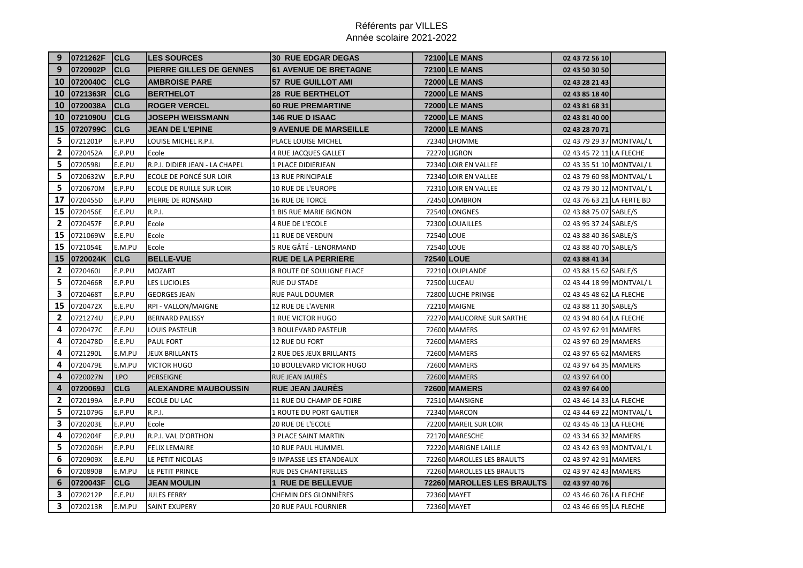| 9            | 0721262F | <b>CLG</b>  | <b>LES SOURCES</b>             | <b>30 RUE EDGAR DEGAS</b>      |            | <b>72100 LE MANS</b>       | 02 43 72 56 10             |
|--------------|----------|-------------|--------------------------------|--------------------------------|------------|----------------------------|----------------------------|
| 9            | 0720902P | <b>CLG</b>  | PIERRE GILLES DE GENNES        | <b>61 AVENUE DE BRETAGNE</b>   |            | <b>72100 LE MANS</b>       | 02 43 50 30 50             |
| <b>10</b>    | 0720040C | <b>CLG</b>  | <b>AMBROISE PARE</b>           | <b>57 RUE GUILLOT AMI</b>      |            | <b>72000 LE MANS</b>       | 02 43 28 21 43             |
| 10           | 0721363R | <b>CLG</b>  | <b>BERTHELOT</b>               | <b>28 RUE BERTHELOT</b>        |            | <b>72000 LE MANS</b>       | 02 43 85 18 40             |
| 10           | 0720038A | <b>CLG</b>  | <b>ROGER VERCEL</b>            | <b>60 RUE PREMARTINE</b>       |            | <b>72000 LE MANS</b>       | 02 43 81 68 31             |
| 10           | 0721090U | <b>CLG</b>  | <b>JOSEPH WEISSMANN</b>        | <b>146 RUE D ISAAC</b>         |            | <b>72000 LE MANS</b>       | 02 43 81 40 00             |
| 15           | 0720799C | <b>ICLG</b> | <b>JEAN DE L'EPINE</b>         | <b>9 AVENUE DE MARSEILLE</b>   |            | <b>72000 LE MANS</b>       | 02 43 28 70 71             |
| 5            | 0721201P | E.P.PU      | LOUISE MICHEL R.P.I.           | PLACE LOUISE MICHEL            |            | 72340 LHOMME               | 02 43 79 29 37 MONTVAL/L   |
| $\mathbf{2}$ | 0720452A | E.P.PU      | Ecole                          | <b>4 RUE JACQUES GALLET</b>    |            | <b>72270 LIGRON</b>        | 02 43 45 72 11 LA FLECHE   |
| 5            | 0720598J | E.E.PU      | R.P.I. DIDIER JEAN - LA CHAPEL | 1 PLACE DIDIERJEAN             |            | 72340 LOIR EN VALLEE       | 02 43 35 51 10 MONTVAL/L   |
| 5            | 0720632W | E.P.PU      | ECOLE DE PONCÉ SUR LOIR        | <b>13 RUE PRINCIPALE</b>       |            | 72340 LOIR EN VALLEE       | 02 43 79 60 98 MONTVAL/L   |
| 5            | 0720670M | E.P.PU      | ECOLE DE RUILLE SUR LOIR       | <b>10 RUE DE L'EUROPE</b>      |            | 72310 LOIR EN VALLEE       | 02 43 79 30 12 MONTVAL/L   |
| 17           | 0720455D | E.P.PU      | PIERRE DE RONSARD              | 16 RUE DE TORCE                |            | 72450 LOMBRON              | 02 43 76 63 21 LA FERTE BD |
| 15           | 0720456E | E.E.PU      | <b>R.P.I.</b>                  | 1 BIS RUE MARIE BIGNON         |            | 72540 LONGNES              | 02 43 88 75 07 SABLE/S     |
| $\mathbf{2}$ | 0720457F | E.P.PU      | Ecole                          | 4 RUE DE L'ECOLE               |            | 72300 LOUAILLES            | 02 43 95 37 24 SABLE/S     |
| 15           | 0721069W | E.E.PU      | Ecole                          | <b>11 RUE DE VERDUN</b>        | 72540 LOUE |                            | 02 43 88 40 36 SABLE/S     |
| 15           | 0721054E | E.M.PU      | Ecole                          | 5 RUE GÂTÉ - LENORMAND         | 72540 LOUE |                            | 02 43 88 40 70 SABLE/S     |
| 15           | 0720024K | <b>CLG</b>  | <b>BELLE-VUE</b>               | <b>RUE DE LA PERRIERE</b>      |            | <b>72540 LOUE</b>          | 02 43 88 41 34             |
| $\mathbf{2}$ | 0720460J | E.P.PU      | <b>MOZART</b>                  | 8 ROUTE DE SOULIGNE FLACE      |            | 72210 LOUPLANDE            | 02 43 88 15 62 SABLE/S     |
| 5            | 0720466R | E.P.PU      | <b>LES LUCIOLES</b>            | <b>RUE DU STADE</b>            |            | <b>72500 LUCEAU</b>        | 02 43 44 18 99 MONTVAL/L   |
| 3            | 0720468T | E.P.PU      | <b>GEORGES JEAN</b>            | <b>RUE PAUL DOUMER</b>         |            | 72800 LUCHE PRINGE         | 02 43 45 48 62 LA FLECHE   |
| 15           | 0720472X | E.E.PU      | RPI - VALLON/MAIGNE            | 12 RUE DE L'AVENIR             |            | <b>72210 MAIGNE</b>        | 02 43 88 11 30 SABLE/S     |
| $\mathbf{2}$ | 0721274U | E.P.PU      | <b>BERNARD PALISSY</b>         | 1 RUE VICTOR HUGO              |            | 72270 MALICORNE SUR SARTHE | 02 43 94 80 64 LA FLECHE   |
| 4            | 0720477C | E.E.PU      | LOUIS PASTEUR                  | 3 BOULEVARD PASTEUR            |            | 72600 MAMERS               | 02 43 97 62 91 MAMERS      |
| 4            | 0720478D | E.E.PU      | <b>PAUL FORT</b>               | 12 RUE DU FORT                 |            | 72600 MAMERS               | 02 43 97 60 29 MAMERS      |
| 4            | 0721290L | E.M.PU      | <b>JEUX BRILLANTS</b>          | 2 RUE DES JEUX BRILLANTS       |            | 72600 MAMERS               | 02 43 97 65 62 MAMERS      |
| 4            | 0720479E | E.M.PU      | <b>VICTOR HUGO</b>             | 10 BOULEVARD VICTOR HUGO       |            | 72600 MAMERS               | 02 43 97 64 35 MAMERS      |
| 4            | 0720027N | <b>LPO</b>  | PERSEIGNE                      | RUE JEAN JAURÈS                |            | 72600 MAMERS               | 02 43 97 64 00             |
| 4            | 0720069J | <b>CLG</b>  | <b>ALEXANDRE MAUBOUSSIN</b>    | <b>RUE JEAN JAURES</b>         |            | 72600 MAMERS               | 02 43 97 64 00             |
| 2            | 0720199A | E.P.PU      | <b>ECOLE DU LAC</b>            | 11 RUE DU CHAMP DE FOIRE       |            | 72510 MANSIGNE             | 02 43 46 14 33 LA FLECHE   |
| 5            | 0721079G | E.P.PU      | <b>R.P.I.</b>                  | <b>1 ROUTE DU PORT GAUTIER</b> |            | 72340 MARCON               | 02 43 44 69 22 MONTVAL/L   |
| 3            | 0720203E | E.P.PU      | Ecole                          | 20 RUE DE L'ECOLE              |            | 72200 MAREIL SUR LOIR      | 02 43 45 46 13 LA FLECHE   |
| 4            | 0720204F | E.P.PU      | R.P.I. VAL D'ORTHON            | <b>3 PLACE SAINT MARTIN</b>    |            | 72170 MARESCHE             | 02 43 34 66 32 MAMERS      |
| 5            | 0720206H | E.P.PU      | <b>FELIX LEMAIRE</b>           | 10 RUE PAUL HUMMEL             |            | 72220 MARIGNE LAILLE       | 02 43 42 63 93 MONTVAL/L   |
| 6            | 0720909X | E.E.PU      | LE PETIT NICOLAS               | 9 IMPASSE LES ETANDEAUX        |            | 72260 MAROLLES LES BRAULTS | 02 43 97 42 91 MAMERS      |
| 6            | 0720890B | E.M.PU      | LE PETIT PRINCE                | RUE DES CHANTERELLES           |            | 72260 MAROLLES LES BRAULTS | 02 43 97 42 43 MAMERS      |
| 6            | 0720043F | <b>CLG</b>  | JEAN MOULIN                    | <b>1 RUE DE BELLEVUE</b>       |            | 72260 MAROLLES LES BRAULTS | 02 43 97 40 76             |
| 3            | 0720212P | E.E.PU      | <b>JULES FERRY</b>             | <b>CHEMIN DES GLONNIÈRES</b>   |            | 72360 MAYET                | 02 43 46 60 76 LA FLECHE   |
| 3            | 0720213R | E.M.PU      | <b>SAINT EXUPERY</b>           | <b>20 RUE PAUL FOURNIER</b>    |            | 72360 MAYET                | 02 43 46 66 95 LA FLECHE   |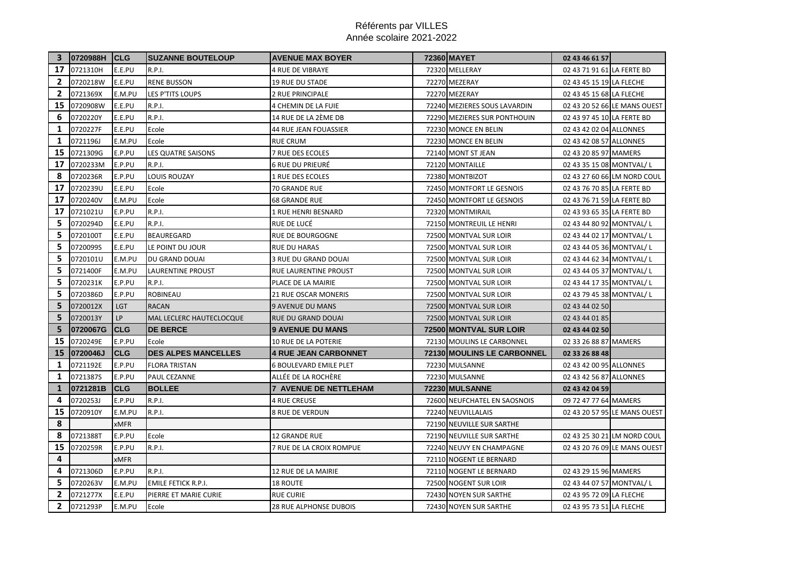|              | 3 0720988H CLG |             | <b>SUZANNE BOUTELOUP</b>   | <b>AVENUE MAX BOYER</b>       | 72360 MAYET                   | 02 43 46 61 57             |                              |
|--------------|----------------|-------------|----------------------------|-------------------------------|-------------------------------|----------------------------|------------------------------|
| 17           | 0721310H       | E.E.PU      | <b>R.P.I.</b>              | <b>4 RUE DE VIBRAYE</b>       | 72320 MELLERAY                | 02 43 71 91 61 LA FERTE BD |                              |
| 2            | 0720218W       | E.E.PU      | <b>RENE BUSSON</b>         | <b>19 RUE DU STADE</b>        | 72270 MEZERAY                 | 02 43 45 15 19 LA FLECHE   |                              |
| $\mathbf{2}$ | 0721369X       | E.M.PU      | LES P'TITS LOUPS           | 2 RUE PRINCIPALE              | 72270 MEZERAY                 | 02 43 45 15 68 LA FLECHE   |                              |
| 15           | 0720908W       | E.E.PU      | <b>R.P.I.</b>              | 4 CHEMIN DE LA FUIE           | 72240 MEZIERES SOUS LAVARDIN  |                            | 02 43 20 52 66 LE MANS OUEST |
| 6            | 0720220Y       | E.E.PU      | <b>R.P.I.</b>              | 14 RUE DE LA 2ÈME DB          | 72290 MEZIERES SUR PONTHOUIN  | 02 43 97 45 10 LA FERTE BD |                              |
| 1            | 0720227F       | E.E.PU      | Ecole                      | <b>44 RUE JEAN FOUASSIER</b>  | 72230 MONCE EN BELIN          | 02 43 42 02 04 ALLONNES    |                              |
| $\mathbf{1}$ | 0721196J       | E.M.PU      | Ecole                      | <b>RUE CRUM</b>               | 72230 MONCE EN BELIN          | 02 43 42 08 57 ALLONNES    |                              |
| 15           | 0721309G       | E.P.PU      | <b>LES QUATRE SAISONS</b>  | <b>7 RUE DES ECOLES</b>       | 72140 MONT ST JEAN            | 02 43 20 85 97 MAMERS      |                              |
| 17           | 0720233M       | E.P.PU      | R.P.I.                     | <b>6 RUE DU PRIEURÉ</b>       | 72120 MONTAILLE               | 02 43 35 15 08 MONTVAL/L   |                              |
| 8            | 0720236R       | E.P.PU      | <b>LOUIS ROUZAY</b>        | 1 RUE DES ECOLES              | 72380 MONTBIZOT               |                            | 02 43 27 60 66 LM NORD COUL  |
| 17           | 0720239U       | E.E.PU      | Ecole                      | 70 GRANDE RUE                 | 72450 MONTFORT LE GESNOIS     | 02 43 76 70 85 LA FERTE BD |                              |
| 17           | 0720240V       | E.M.PU      | Ecole                      | <b>68 GRANDE RUE</b>          | 72450 MONTFORT LE GESNOIS     | 02 43 76 71 59 LA FERTE BD |                              |
| 17           | 0721021U       | E.P.PU      | <b>R.P.I.</b>              | 1 RUE HENRI BESNARD           | 72320 MONTMIRAIL              | 02 43 93 65 35 LA FERTE BD |                              |
| 5            | 0720294D       | E.E.PU      | <b>R.P.I.</b>              | RUE DE LUCÉ                   | 72150 MONTREUIL LE HENRI      | 02 43 44 80 92 MONTVAL/L   |                              |
| 5            | 0720100T       | E.E.PU      | <b>BEAUREGARD</b>          | RUE DE BOURGOGNE              | 72500 MONTVAL SUR LOIR        | 02 43 44 02 17 MONTVAL/L   |                              |
| 5            | 0720099S       | E.E.PU      | LE POINT DU JOUR           | <b>RUE DU HARAS</b>           | 72500 MONTVAL SUR LOIR        | 02 43 44 05 36 MONTVAL/L   |                              |
| 5            | 0720101U       | E.M.PU      | DU GRAND DOUAI             | 3 RUE DU GRAND DOUAI          | 72500 MONTVAL SUR LOIR        | 02 43 44 62 34 MONTVAL/L   |                              |
| 5            | 0721400F       | E.M.PU      | LAURENTINE PROUST          | RUE LAURENTINE PROUST         | 72500 MONTVAL SUR LOIR        | 02 43 44 05 37 MONTVAL/L   |                              |
| 5            | 0720231K       | E.P.PU      | <b>R.P.I.</b>              | PLACE DE LA MAIRIE            | 72500 MONTVAL SUR LOIR        | 02 43 44 17 35 MONTVAL/L   |                              |
| 5            | 0720386D       | E.P.PU      | <b>ROBINEAU</b>            | 21 RUE OSCAR MONERIS          | 72500 MONTVAL SUR LOIR        | 02 43 79 45 38 MONTVAL/L   |                              |
| 5            | 0720012X       | <b>LGT</b>  | <b>RACAN</b>               | 9 AVENUE DU MANS              | 72500 MONTVAL SUR LOIR        | 02 43 44 02 50             |                              |
| 5            | 0720013Y       | <b>LP</b>   | MAL LECLERC HAUTECLOCQUE   | RUE DU GRAND DOUAI            | 72500 MONTVAL SUR LOIR        | 02 43 44 01 85             |                              |
| 5            | 0720067G       | <b>CLG</b>  | <b>DE BERCE</b>            | <b>9 AVENUE DU MANS</b>       | <b>72500 MONTVAL SUR LOIR</b> | 02 43 44 02 50             |                              |
| 15           | 0720249E       | E.P.PU      | Ecole                      | <b>10 RUE DE LA POTERIE</b>   | 72130 MOULINS LE CARBONNEL    | 02 33 26 88 87 MAMERS      |                              |
| 15           | 0720046J       | <b>CLG</b>  | <b>DES ALPES MANCELLES</b> | <b>4 RUE JEAN CARBONNET</b>   | 72130 MOULINS LE CARBONNEL    | 02 33 26 88 48             |                              |
| 1            | 0721192E       | E.P.PU      | <b>FLORA TRISTAN</b>       | <b>6 BOULEVARD EMILE PLET</b> | 72230 MULSANNE                | 02 43 42 00 95 ALLONNES    |                              |
| $\mathbf{1}$ | 0721387S       | E.P.PU      | PAUL CEZANNE               | ALLÉE DE LA ROCHÈRE           | 72230 MULSANNE                | 02 43 42 56 87 ALLONNES    |                              |
| 1            | 0721281B       | <b>CLG</b>  | <b>BOLLEE</b>              | <b>7 AVENUE DE NETTLEHAM</b>  | <b>72230IMULSANNE</b>         | 02 43 42 04 59             |                              |
| 4            | 0720253J       | E.P.PU      | R.P.I.                     | <b>4 RUE CREUSE</b>           | 72600 NEUFCHATEL EN SAOSNOIS  | 09 72 47 77 64 MAMERS      |                              |
| 15           | 0720910Y       | E.M.PU      | <b>R.P.I.</b>              | <b>8 RUE DE VERDUN</b>        | 72240 NEUVILLALAIS            |                            | 02 43 20 57 95 LE MANS OUEST |
| 8            |                | xMFR        |                            |                               | 72190 NEUVILLE SUR SARTHE     |                            |                              |
| 8            | 0721388T       | E.P.PU      | Ecole                      | 12 GRANDE RUE                 | 72190 NEUVILLE SUR SARTHE     |                            | 02 43 25 30 21 LM NORD COUL  |
| 15           | 0720259R       | E.P.PU      | R.P.I.                     | 7 RUE DE LA CROIX ROMPUE      | 72240 NEUVY EN CHAMPAGNE      |                            | 02 43 20 76 09 LE MANS OUEST |
| 4            |                | <b>xMFR</b> |                            |                               | 72110 NOGENT LE BERNARD       |                            |                              |
| 4            | 0721306D       | E.P.PU      | <b>R.P.I.</b>              | 12 RUE DE LA MAIRIE           | 72110 NOGENT LE BERNARD       | 02 43 29 15 96 MAMERS      |                              |
| 5.           | 0720263V       | E.M.PU      | <b>EMILE FETICK R.P.I.</b> | <b>18 ROUTE</b>               | 72500 NOGENT SUR LOIR         | 02 43 44 07 57 MONTVAL/L   |                              |
| $\mathbf{2}$ | 0721277X       | E.E.PU      | PIERRE ET MARIE CURIE      | <b>RUE CURIE</b>              | 72430 NOYEN SUR SARTHE        | 02 43 95 72 09 LA FLECHE   |                              |
| $\mathbf{2}$ | 0721293P       | E.M.PU      | Ecole                      | 28 RUE ALPHONSE DUBOIS        | 72430 NOYEN SUR SARTHE        | 02 43 95 73 51 LA FLECHE   |                              |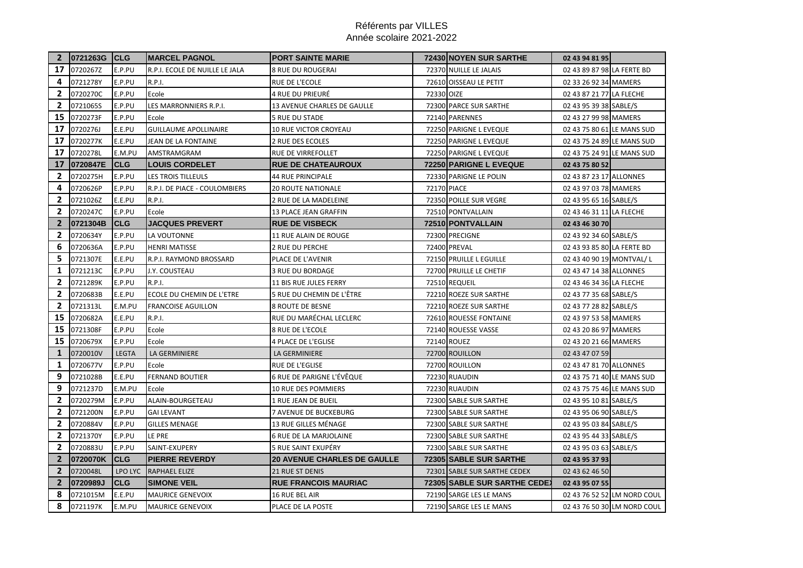| $\mathbf{2}$ | 0721263G CLG |              | <b>MARCEL PAGNOL</b>           | <b>PORT SAINTE MARIE</b>           |                    | <b>72430 NOYEN SUR SARTHE</b> | 02 43 94 81 95             |                             |
|--------------|--------------|--------------|--------------------------------|------------------------------------|--------------------|-------------------------------|----------------------------|-----------------------------|
| 17           | 0720267Z     | E.P.PU       | R.P.I. ECOLE DE NUILLE LE JALA | <b>8 RUE DU ROUGERAI</b>           |                    | 72370 NUILLE LE JALAIS        | 02 43 89 87 98 LA FERTE BD |                             |
| 4            | 0721278Y     | E.P.PU       | <b>R.P.I.</b>                  | RUE DE L'ECOLE                     |                    | 72610 OISSEAU LE PETIT        | 02 33 26 92 34 MAMERS      |                             |
| $\mathbf{2}$ | 0720270C     | E.P.PU       | Ecole                          | 4 RUE DU PRIEURÉ                   | 72330 OIZE         |                               | 02 43 87 21 77 LA FLECHE   |                             |
| $\mathbf{2}$ | 0721065S     | E.P.PU       | LES MARRONNIERS R.P.I.         | 13 AVENUE CHARLES DE GAULLE        |                    | 72300 PARCE SUR SARTHE        | 02 43 95 39 38 SABLE/S     |                             |
| 15           | 0720273F     | E.P.PU       | Ecole                          | 5 RUE DU STADE                     |                    | 72140 PARENNES                | 02 43 27 99 98 MAMERS      |                             |
| 17           | 0720276J     | E.E.PU       | <b>GUILLAUME APOLLINAIRE</b>   | <b>10 RUE VICTOR CROYEAU</b>       |                    | 72250 PARIGNE L EVEQUE        | 02 43 75 80 61 LE MANS SUD |                             |
| 17           | 0720277K     | E.E.PU       | JEAN DE LA FONTAINE            | 2 RUE DES ECOLES                   |                    | 72250 PARIGNE L EVEQUE        | 02 43 75 24 89 LE MANS SUD |                             |
| 17           | 0720278L     | E.M.PU       | AMSTRAMGRAM                    | RUE DE VIRREFOLLET                 |                    | 72250 PARIGNE L EVEQUE        | 02 43 75 24 91 LE MANS SUD |                             |
| 17           | 0720847E     | <b>CLG</b>   | <b>LOUIS CORDELET</b>          | <b>RUE DE CHATEAUROUX</b>          |                    | <b>72250 PARIGNE L EVEQUE</b> | 02 43 75 80 52             |                             |
| $\mathbf{2}$ | 0720275H     | E.P.PU       | LES TROIS TILLEULS             | <b>44 RUE PRINCIPALE</b>           |                    | 72330 PARIGNE LE POLIN        | 02 43 87 23 17 ALLONNES    |                             |
| 4            | 0720626P     | E.P.PU       | R.P.I. DE PIACE - COULOMBIERS  | <b>20 ROUTE NATIONALE</b>          | <b>72170 PIACE</b> |                               | 02 43 97 03 78 MAMERS      |                             |
| $\mathbf{2}$ | 0721026Z     | E.E.PU       | <b>R.P.I.</b>                  | 2 RUE DE LA MADELEINE              |                    | 72350 POILLE SUR VEGRE        | 02 43 95 65 16 SABLE/S     |                             |
| 2            | 0720247C     | E.P.PU       | Ecole                          | 13 PLACE JEAN GRAFFIN              |                    | 72510 PONTVALLAIN             | 02 43 46 31 11 LA FLECHE   |                             |
| $\mathbf{2}$ | 0721304B     | <b>CLG</b>   | <b>JACQUES PREVERT</b>         | <b>RUE DE VISBECK</b>              |                    | 72510 PONTVALLAIN             | 02 43 46 30 70             |                             |
| 2            | 0720634Y     | E.P.PU       | LA VOUTONNE                    | 11 RUE ALAIN DE ROUGE              |                    | 72300 PRECIGNE                | 02 43 92 34 60 SABLE/S     |                             |
| 6            | 0720636A     | E.P.PU       | <b>HENRI MATISSE</b>           | <b>2 RUE DU PERCHE</b>             |                    | <b>72400 PREVAL</b>           | 02 43 93 85 80 LA FERTE BD |                             |
| 5            | 0721307E     | E.E.PU       | R.P.I. RAYMOND BROSSARD        | PLACE DE L'AVENIR                  |                    | 72150 PRUILLE L EGUILLE       | 02 43 40 90 19 MONTVAL/L   |                             |
| 1            | 0721213C     | E.P.PU       | J.Y. COUSTEAU                  | <b>3 RUE DU BORDAGE</b>            |                    | 72700 PRUILLE LE CHETIF       | 02 43 47 14 38 ALLONNES    |                             |
| $\mathbf{2}$ | 0721289K     | E.P.PU       | R.P.I.                         | 11 BIS RUE JULES FERRY             |                    | 72510 REQUEIL                 | 02 43 46 34 36 LA FLECHE   |                             |
| $\mathbf{2}$ | 0720683B     | E.E.PU       | ECOLE DU CHEMIN DE L'ETRE      | 5 RUE DU CHEMIN DE L'ÊTRE          |                    | 72210 ROEZE SUR SARTHE        | 02 43 77 35 68 SABLE/S     |                             |
| $\mathbf{2}$ | 0721313L     | E.M.PU       | <b>FRANCOISE AGUILLON</b>      | 8 ROUTE DE BESNE                   |                    | 72210 ROEZE SUR SARTHE        | 02 43 77 28 82 SABLE/S     |                             |
| 15           | 0720682A     | E.E.PU       | <b>R.P.I.</b>                  | RUE DU MARÉCHAL LECLERC            |                    | 72610 ROUESSE FONTAINE        | 02 43 97 53 58 MAMERS      |                             |
| 15           | 0721308F     | E.P.PU       | Ecole                          | 8 RUE DE L'ECOLE                   |                    | 72140 ROUESSE VASSE           | 02 43 20 86 97 MAMERS      |                             |
| 15           | 0720679X     | E.P.PU       | Ecole                          | <b>4 PLACE DE L'EGLISE</b>         |                    | 72140 ROUEZ                   | 02 43 20 21 66 MAMERS      |                             |
| $\mathbf{1}$ | 0720010V     | <b>LEGTA</b> | LA GERMINIERE                  | LA GERMINIERE                      |                    | 72700 ROUILLON                | 02 43 47 07 59             |                             |
| 1            | 0720677V     | E.P.PU       | Ecole                          | RUE DE L'EGLISE                    |                    | 72700 ROUILLON                | 02 43 47 81 70 ALLONNES    |                             |
| 9            | 0721028B     | E.E.PU       | <b>FERNAND BOUTIER</b>         | 6 RUE DE PARIGNE L'ÉVÊQUE          |                    | 72230 RUAUDIN                 | 02 43 75 71 40 LE MANS SUD |                             |
| 9            | 0721237D     | E.M.PU       | Ecole                          | 10 RUE DES POMMIERS                |                    | 72230 RUAUDIN                 | 02 43 75 75 46 LE MANS SUD |                             |
| 2            | 0720279M     | E.P.PU       | ALAIN-BOURGETEAU               | 1 RUE JEAN DE BUEIL                |                    | 72300 SABLE SUR SARTHE        | 02 43 95 10 81 SABLE/S     |                             |
| $\mathbf{2}$ | 0721200N     | E.P.PU       | <b>GAI LEVANT</b>              | <b>7 AVENUE DE BUCKEBURG</b>       |                    | 72300 SABLE SUR SARTHE        | 02 43 95 06 90 SABLE/S     |                             |
| $\mathbf{2}$ | 0720884V     | E.P.PU       | <b>GILLES MENAGE</b>           | 13 RUE GILLES MÉNAGE               |                    | 72300 SABLE SUR SARTHE        | 02 43 95 03 84 SABLE/S     |                             |
| $\mathbf{2}$ | 0721370Y     | E.P.PU       | LE PRE                         | <b>6 RUE DE LA MARJOLAINE</b>      |                    | 72300 SABLE SUR SARTHE        | 02 43 95 44 33 SABLE/S     |                             |
| $\mathbf{2}$ | 0720883U     | E.P.PU       | SAINT-EXUPERY                  | 5 RUE SAINT EXUPÉRY                |                    | 72300 SABLE SUR SARTHE        | 02 43 95 03 63 SABLE/S     |                             |
| $\mathbf{2}$ | 0720070K     | <b>CLG</b>   | <b>PIERRE REVERDY</b>          | <b>20 AVENUE CHARLES DE GAULLE</b> |                    | <b>72305 SABLE SUR SARTHE</b> | 02 43 95 37 93             |                             |
| $\mathbf{2}$ | 0720048L     | LPO LYC      | <b>RAPHAEL ELIZE</b>           | <b>21 RUE ST DENIS</b>             |                    | 72301 SABLE SUR SARTHE CEDEX  | 02 43 62 46 50             |                             |
| $\mathbf{2}$ | 0720989J     | <b>CLG</b>   | <b>SIMONE VEIL</b>             | <b>RUE FRANCOIS MAURIAC</b>        |                    | 72305 SABLE SUR SARTHE CEDE)  | 02 43 95 07 55             |                             |
| 8            | 0721015M     | E.E.PU       | <b>MAURICE GENEVOIX</b>        | 16 RUE BEL AIR                     |                    | 72190 SARGE LES LE MANS       |                            | 02 43 76 52 52 LM NORD COUL |
| 8            | 0721197K     | E.M.PU       | <b>MAURICE GENEVOIX</b>        | PLACE DE LA POSTE                  |                    | 72190 SARGE LES LE MANS       |                            | 02 43 76 50 30 LM NORD COUL |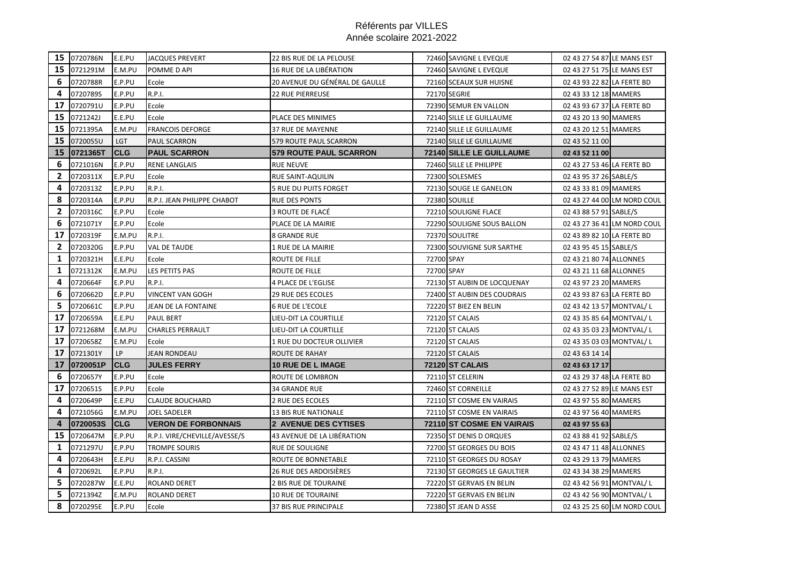|              | 15 0720786N | E.E.PU     | <b>JACQUES PREVERT</b>        | 22 BIS RUE DE LA PELOUSE       |            | 72460 SAVIGNE L EVEQUE           | 02 43 27 54 87 LE MANS EST |                             |
|--------------|-------------|------------|-------------------------------|--------------------------------|------------|----------------------------------|----------------------------|-----------------------------|
| 15           | 0721291M    | E.M.PU     | POMME D API                   | 16 RUE DE LA LIBÉRATION        |            | 72460 SAVIGNE L EVEQUE           | 02 43 27 51 75 LE MANS EST |                             |
| 6            | 0720788R    | E.P.PU     | Ecole                         | 20 AVENUE DU GÉNÉRAL DE GAULLE |            | 72160 SCEAUX SUR HUISNE          | 02 43 93 22 82 LA FERTE BD |                             |
| 4            | 0720789S    | E.P.PU     | <b>R.P.I.</b>                 | <b>22 RUE PIERREUSE</b>        |            | 72170 SEGRIE                     | 02 43 33 12 18 MAMERS      |                             |
| 17           | 0720791U    | E.P.PU     | Ecole                         |                                |            | 72390 SEMUR EN VALLON            | 02 43 93 67 37 LA FERTE BD |                             |
| 15           | 0721242J    | E.E.PU     | Ecole                         | PLACE DES MINIMES              |            | 72140 SILLE LE GUILLAUME         | 02 43 20 13 90 MAMERS      |                             |
| 15           | 0721395A    | E.M.PU     | <b>FRANCOIS DEFORGE</b>       | 37 RUE DE MAYENNE              |            | 72140 SILLE LE GUILLAUME         | 02 43 20 12 51 MAMERS      |                             |
| 15           | 0720055U    | <b>LGT</b> | <b>PAUL SCARRON</b>           | 579 ROUTE PAUL SCARRON         |            | 72140 SILLE LE GUILLAUME         | 02 43 52 11 00             |                             |
| 15           | 0721365T    | <b>CLG</b> | <b>PAUL SCARRON</b>           | 579 ROUTE PAUL SCARRON         |            | <b>72140 SILLE LE GUILLAUME</b>  | 02 43 52 11 00             |                             |
| 6            | 0721016N    | E.P.PU     | <b>RENE LANGLAIS</b>          | <b>RUE NEUVE</b>               |            | 72460 SILLE LE PHILIPPE          | 02 43 27 53 46 LA FERTE BD |                             |
| $\mathbf{2}$ | 0720311X    | E.P.PU     | Ecole                         | <b>RUE SAINT-AQUILIN</b>       |            | 72300 SOLESMES                   | 02 43 95 37 26 SABLE/S     |                             |
| 4            | 0720313Z    | E.P.PU     | R.P.I.                        | <b>5 RUE DU PUITS FORGET</b>   |            | 72130 SOUGE LE GANELON           | 02 43 33 81 09 MAMERS      |                             |
| 8            | 0720314A    | E.P.PU     | R.P.I. JEAN PHILIPPE CHABOT   | <b>RUE DES PONTS</b>           |            | 72380 SOUILLE                    |                            | 02 43 27 44 00 LM NORD COUL |
| 2            | 0720316C    | E.P.PU     | Ecole                         | 3 ROUTE DE FLACÉ               |            | 72210 SOULIGNE FLACE             | 02 43 88 57 91 SABLE/S     |                             |
| 6            | 0721071Y    | E.P.PU     | Ecole                         | PLACE DE LA MAIRIE             |            | 72290 SOULIGNE SOUS BALLON       |                            | 02 43 27 36 41 LM NORD COUL |
| 17           | 0720319F    | E.M.PU     | <b>R.P.I.</b>                 | 8 GRANDE RUE                   |            | 72370 SOULITRE                   | 02 43 89 82 10 LA FERTE BD |                             |
| $\mathbf{2}$ | 0720320G    | E.P.PU     | <b>VAL DE TAUDE</b>           | 1 RUE DE LA MAIRIE             |            | 72300 SOUVIGNE SUR SARTHE        | 02 43 95 45 15 SABLE/S     |                             |
| 1            | 0720321H    | E.E.PU     | Ecole                         | ROUTE DE FILLE                 | 72700 SPAY |                                  | 02 43 21 80 74 ALLONNES    |                             |
| 1            | 0721312K    | E.M.PU     | LES PETITS PAS                | ROUTE DE FILLE                 | 72700 SPAY |                                  | 02 43 21 11 68 ALLONNES    |                             |
| 4            | 0720664F    | E.P.PU     | R.P.I.                        | 4 PLACE DE L'EGLISE            |            | 72130 ST AUBIN DE LOCQUENAY      | 02 43 97 23 20 MAMERS      |                             |
| 6            | 0720662D    | E.P.PU     | <b>VINCENT VAN GOGH</b>       | <b>29 RUE DES ECOLES</b>       |            | 72400 ST AUBIN DES COUDRAIS      | 02 43 93 87 63 LA FERTE BD |                             |
| 5            | 0720661C    | E.P.PU     | JEAN DE LA FONTAINE           | <b>6 RUE DE L'ECOLE</b>        |            | 72220 ST BIEZ EN BELIN           | 02 43 42 13 57 MONTVAL/L   |                             |
| 17           | 0720659A    | E.E.PU     | <b>PAUL BERT</b>              | LIEU-DIT LA COURTILLE          |            | 72120 ST CALAIS                  | 02 43 35 85 64 MONTVAL/L   |                             |
| 17           | 0721268M    | E.M.PU     | <b>CHARLES PERRAULT</b>       | LIEU-DIT LA COURTILLE          |            | 72120 ST CALAIS                  | 02 43 35 03 23 MONTVAL/L   |                             |
| 17           | 0720658Z    | E.M.PU     | Ecole                         | 1 RUE DU DOCTEUR OLLIVIER      |            | 72120 ST CALAIS                  | 02 43 35 03 03 MONTVAL/L   |                             |
| 17           | 0721301Y    | <b>LP</b>  | <b>JEAN RONDEAU</b>           | <b>ROUTE DE RAHAY</b>          |            | 72120 ST CALAIS                  | 02 43 63 14 14             |                             |
| 17           | 0720051P    | <b>CLG</b> | <b>JULES FERRY</b>            | <b>10 RUE DE L IMAGE</b>       |            | <b>72120 ST CALAIS</b>           | 02 43 63 17 17             |                             |
| 6            | 0720657Y    | E.P.PU     | Ecole                         | ROUTE DE LOMBRON               |            | 72110 ST CELERIN                 | 02 43 29 37 48 LA FERTE BD |                             |
| 17           | 0720651S    | E.P.PU     | Ecole                         | <b>34 GRANDE RUE</b>           |            | 72460 ST CORNEILLE               | 02 43 27 52 89 LE MANS EST |                             |
| 4            | 0720649P    | E.E.PU     | <b>CLAUDE BOUCHARD</b>        | <b>2 RUE DES ECOLES</b>        |            | 72110 ST COSME EN VAIRAIS        | 02 43 97 55 80 MAMERS      |                             |
| 4            | 0721056G    | E.M.PU     | <b>JOEL SADELER</b>           | <b>13 BIS RUE NATIONALE</b>    |            | 72110 ST COSME EN VAIRAIS        | 02 43 97 56 40 MAMERS      |                             |
| 4            | 0720053S    | <b>CLG</b> | <b>VERON DE FORBONNAIS</b>    | <b>2 AVENUE DES CYTISES</b>    |            | <b>72110 ST COSME EN VAIRAIS</b> | 02 43 97 55 63             |                             |
| 15           | 0720647M    | E.P.PU     | R.P.I. VIRE/CHEVILLE/AVESSE/S | 43 AVENUE DE LA LIBÉRATION     |            | 72350 ST DENIS D ORQUES          | 02 43 88 41 92 SABLE/S     |                             |
| 1            | 0721297U    | E.P.PU     | <b>TROMPE SOURIS</b>          | RUE DE SOULIGNE                |            | 72700 ST GEORGES DU BOIS         | 02 43 47 11 48 ALLONNES    |                             |
| 4            | 0720643H    | E.E.PU     | R.P.I. CASSINI                | ROUTE DE BONNETABLE            |            | 72110 ST GEORGES DU ROSAY        | 02 43 29 13 79 MAMERS      |                             |
| 4            | 0720692L    | E.P.PU     | <b>R.P.I.</b>                 | 26 RUE DES ARDOISIÈRES         |            | 72130 ST GEORGES LE GAULTIER     | 02 43 34 38 29 MAMERS      |                             |
| 5            | 0720287W    | E.E.PU     | ROLAND DERET                  | 2 BIS RUE DE TOURAINE          |            | 72220 ST GERVAIS EN BELIN        | 02 43 42 56 91 MONTVAL/L   |                             |
| 5            | 0721394Z    | E.M.PU     | <b>ROLAND DERET</b>           | <b>10 RUE DE TOURAINE</b>      |            | 72220 ST GERVAIS EN BELIN        | 02 43 42 56 90 MONTVAL/L   |                             |
| 8            | 0720295E    | E.P.PU     | Ecole                         | 37 BIS RUE PRINCIPALE          |            | 72380 ST JEAN D ASSE             |                            | 02 43 25 25 60 LM NORD COUL |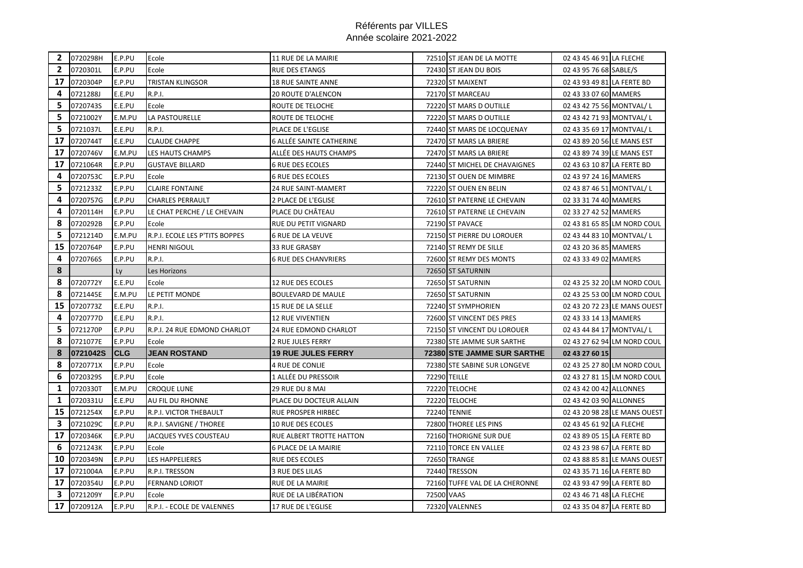|              | 2 0720298H | E.P.PU      | Ecole                          | 11 RUE DE LA MAIRIE         |                     | 72510 ST JEAN DE LA MOTTE         | 02 43 45 46 91 LA FLECHE   |                              |
|--------------|------------|-------------|--------------------------------|-----------------------------|---------------------|-----------------------------------|----------------------------|------------------------------|
| $\mathbf{2}$ | 0720301L   | E.P.PU      | Ecole                          | <b>RUE DES ETANGS</b>       |                     | 72430 ST JEAN DU BOIS             | 02 43 95 76 68 SABLE/S     |                              |
| 17           | 0720304P   | E.P.PU      | <b>TRISTAN KLINGSOR</b>        | 18 RUE SAINTE ANNE          |                     | 72320 ST MAIXENT                  | 02 43 93 49 81 LA FERTE BD |                              |
| 4            | 0721288J   | E.E.PU      | R.P.I.                         | 20 ROUTE D'ALENCON          |                     | 72170 ST MARCEAU                  | 02 43 33 07 60 MAMERS      |                              |
| 5            | 0720743S   | E.E.PU      | Ecole                          | ROUTE DE TELOCHE            |                     | 72220 ST MARS D OUTILLE           | 02 43 42 75 56 MONTVAL/L   |                              |
| 5            | 0721002Y   | E.M.PU      | LA PASTOURELLE                 | ROUTE DE TELOCHE            |                     | 72220 ST MARS D OUTILLE           | 02 43 42 71 93 MONTVAL/L   |                              |
| 5            | 0721037L   | E.E.PU      | R.P.I.                         | PLACE DE L'EGLISE           |                     | 72440 ST MARS DE LOCQUENAY        | 02 43 35 69 17 MONTVAL/L   |                              |
| 17           | 0720744T   | E.E.PU      | <b>CLAUDE CHAPPE</b>           | 6 ALLÉE SAINTE CATHERINE    |                     | 72470 ST MARS LA BRIERE           | 02 43 89 20 56 LE MANS EST |                              |
| 17           | 0720746V   | E.M.PU      | LES HAUTS CHAMPS               | ALLÉE DES HAUTS CHAMPS      |                     | 72470 ST MARS LA BRIERE           | 02 43 89 74 39 LE MANS EST |                              |
| 17           | 0721064R   | E.P.PU      | <b>GUSTAVE BILLARD</b>         | <b>6 RUE DES ECOLES</b>     |                     | 72440 ST MICHEL DE CHAVAIGNES     | 02 43 63 10 87 LA FERTE BD |                              |
| 4            | 0720753C   | E.P.PU      | Ecole                          | <b>6 RUE DES ECOLES</b>     |                     | 72130 ST OUEN DE MIMBRE           | 02 43 97 24 16 MAMERS      |                              |
| 5            | 0721233Z   | E.P.PU      | <b>CLAIRE FONTAINE</b>         | <b>24 RUE SAINT-MAMERT</b>  |                     | 72220 ST OUEN EN BELIN            | 02 43 87 46 51 MONTVAL/L   |                              |
| 4            | 0720757G   | E.P.PU      | <b>CHARLES PERRAULT</b>        | 2 PLACE DE L'EGLISE         |                     | 72610 ST PATERNE LE CHEVAIN       | 02 33 31 74 40 MAMERS      |                              |
| 4            | 0720114H   | E.P.PU      | LE CHAT PERCHE / LE CHEVAIN    | PLACE DU CHÂTEAU            |                     | 72610 ST PATERNE LE CHEVAIN       | 02 33 27 42 52 MAMERS      |                              |
| 8            | 0720292B   | E.P.PU      | Ecole                          | RUE DU PETIT VIGNARD        |                     | 72190 ST PAVACE                   |                            | 02 43 81 65 85 LM NORD COUL  |
| 5            | 0721214D   | E.M.PU      | R.P.I. ECOLE LES P'TITS BOPPES | <b>6 RUE DE LA VEUVE</b>    |                     | 72150 ST PIERRE DU LOROUER        | 02 43 44 83 10 MONTVAL/L   |                              |
| 15           | 0720764P   | E.P.PU      | <b>HENRI NIGOUL</b>            | 33 RUE GRASBY               |                     | 72140 ST REMY DE SILLE            | 02 43 20 36 85 MAMERS      |                              |
| 4            | 0720766S   | E.P.PU      | <b>R.P.I.</b>                  | <b>6 RUE DES CHANVRIERS</b> |                     | 72600 ST REMY DES MONTS           | 02 43 33 49 02 MAMERS      |                              |
| 8            |            | Ly          | Les Horizons                   |                             |                     | 72650 ST SATURNIN                 |                            |                              |
| 8            | 0720772Y   | E.E.PU      | Ecole                          | 12 RUE DES ECOLES           |                     | 72650 ST SATURNIN                 |                            | 02 43 25 32 20 LM NORD COUL  |
| 8            | 0721445E   | E.M.PU      | LE PETIT MONDE                 | <b>BOULEVARD DE MAULE</b>   |                     | 72650 ST SATURNIN                 |                            | 02 43 25 53 00 LM NORD COUL  |
| 15           | 0720773Z   | E.E.PU      | R.P.I.                         | 15 RUE DE LA SELLE          |                     | 72240 ST SYMPHORIEN               |                            | 02 43 20 72 23 LE MANS OUEST |
| 4            | 0720777D   | E.E.PU      | R.P.I.                         | 12 RUE VIVENTIEN            |                     | 72600 ST VINCENT DES PRES         | 02 43 33 14 13 MAMERS      |                              |
| 5            | 0721270P   | E.P.PU      | R.P.I. 24 RUE EDMOND CHARLOT   | 24 RUE EDMOND CHARLOT       |                     | 72150 ST VINCENT DU LOROUER       | 02 43 44 84 17 MONTVAL/L   |                              |
| 8            | 0721077E   | E.P.PU      | Ecole                          | 2 RUE JULES FERRY           |                     | 72380 STE JAMME SUR SARTHE        |                            | 02 43 27 62 94 LM NORD COUL  |
| 8            | 0721042S   | <b>ICLG</b> | <b>JEAN ROSTAND</b>            | <b>19 RUE JULES FERRY</b>   |                     | <b>72380 STE JAMME SUR SARTHE</b> | 02 43 27 60 15             |                              |
| 8            | 0720771X   | E.P.PU      | Ecole                          | 4 RUE DE CONLIE             |                     | 72380 STE SABINE SUR LONGEVE      |                            | 02 43 25 27 80 LM NORD COUL  |
| 6            | 0720329S   | E.P.PU      | Ecole                          | 1 ALLÉE DU PRESSOIR         | <b>72290 TEILLE</b> |                                   |                            | 02 43 27 81 15 LM NORD COUL  |
| 1            | 0720330T   | E.M.PU      | <b>CROQUE LUNE</b>             | 29 RUE DU 8 MAI             |                     | 72220 TELOCHE                     | 02 43 42 00 42 ALLONNES    |                              |
| 1            | 0720331U   | E.E.PU      | AU FIL DU RHONNE               | PLACE DU DOCTEUR ALLAIN     |                     | 72220 TELOCHE                     | 02 43 42 03 90 ALLONNES    |                              |
| 15           | 0721254X   | E.P.PU      | R.P.I. VICTOR THEBAULT         | RUE PROSPER HIRBEC          |                     | <b>72240 TENNIE</b>               |                            | 02 43 20 98 28 LE MANS OUEST |
| 3            | 0721029C   | E.P.PU      | R.P.I. SAVIGNE / THOREE        | 10 RUE DES ECOLES           |                     | 72800 THOREE LES PINS             | 02 43 45 61 92 LA FLECHE   |                              |
| 17           | 0720346K   | E.P.PU      | JACQUES YVES COUSTEAU          | RUE ALBERT TROTTE HATTON    |                     | 72160 THORIGNE SUR DUE            | 02 43 89 05 15 LA FERTE BD |                              |
| 6            | 0721243K   | E.P.PU      | Ecole                          | 6 PLACE DE LA MAIRIE        |                     | 72110 TORCE EN VALLEE             | 02 43 23 98 67 LA FERTE BD |                              |
| 10           | 0720349N   | E.P.PU      | LES HAPPELIERES                | RUE DES ECOLES              |                     | 72650 TRANGE                      |                            | 02 43 88 85 81 LE MANS OUEST |
| 17           | 0721004A   | E.P.PU      | R.P.I. TRESSON                 | 3 RUE DES LILAS             |                     | 72440 TRESSON                     | 02 43 35 71 16 LA FERTE BD |                              |
| 17           | 0720354U   | E.P.PU      | <b>FERNAND LORIOT</b>          | RUE DE LA MAIRIE            |                     | 72160 TUFFE VAL DE LA CHERONNE    | 02 43 93 47 99 LA FERTE BD |                              |
| 3            | 0721209Y   | E.P.PU      | Ecole                          | RUE DE LA LIBÉRATION        | 72500 VAAS          |                                   | 02 43 46 71 48 LA FLECHE   |                              |
| 17           | 0720912A   | E.P.PU      | R.P.I. - ECOLE DE VALENNES     | 17 RUE DE L'EGLISE          |                     | 72320 VALENNES                    | 02 43 35 04 87 LA FERTE BD |                              |